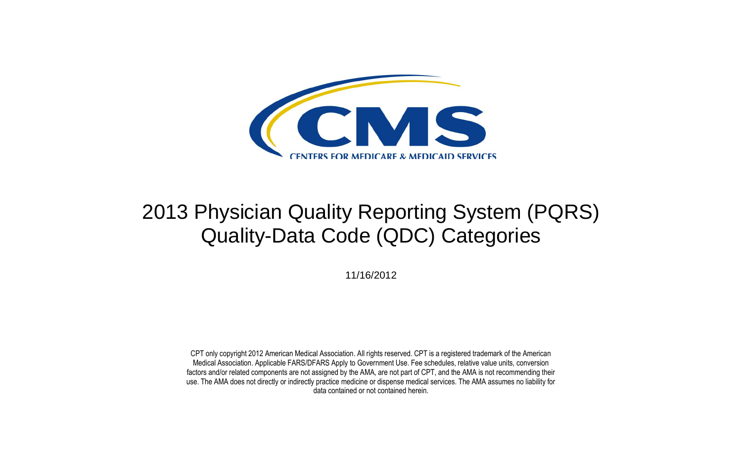

11/16/2012

CPT only copyright 2012 American Medical Association. All rights reserved. CPT is a registered trademark of the American Medical Association. Applicable FARS/DFARS Apply to Government Use. Fee schedules, relative value units, conversion factors and/or related components are not assigned by the AMA, are not part of CPT, and the AMA is not recommending their use. The AMA does not directly or indirectly practice medicine or dispense medical services. The AMA assumes no liability for data contained or not contained herein.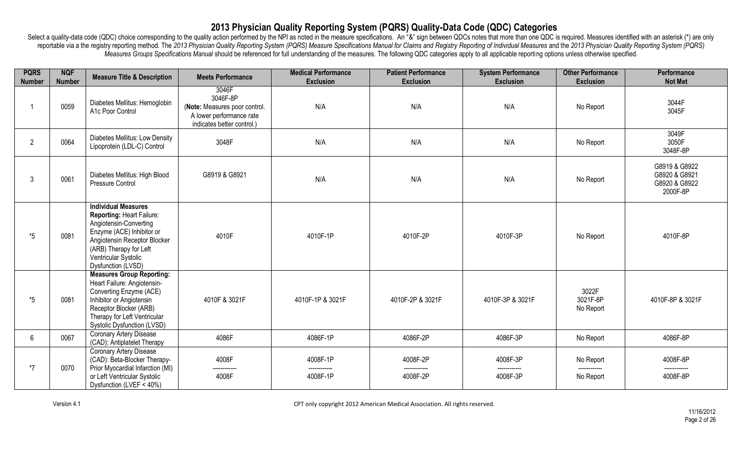| <b>PQRS</b><br><b>Number</b> | <b>NQF</b><br><b>Number</b> | <b>Measure Title &amp; Description</b>                                                                                                                                                                                 | <b>Meets Performance</b>                                                                                     | <b>Medical Performance</b><br><b>Exclusion</b> | <b>Patient Performance</b><br><b>Exclusion</b> | <b>System Performance</b><br><b>Exclusion</b> | <b>Other Performance</b><br><b>Exclusion</b> | Performance<br><b>Not Met</b>                               |
|------------------------------|-----------------------------|------------------------------------------------------------------------------------------------------------------------------------------------------------------------------------------------------------------------|--------------------------------------------------------------------------------------------------------------|------------------------------------------------|------------------------------------------------|-----------------------------------------------|----------------------------------------------|-------------------------------------------------------------|
|                              | 0059                        | Diabetes Mellitus: Hemoglobin<br>A1c Poor Control                                                                                                                                                                      | 3046F<br>3046F-8P<br>(Note: Measures poor control.<br>A lower performance rate<br>indicates better control.) | N/A                                            | N/A                                            | N/A                                           | No Report                                    | 3044F<br>3045F                                              |
| $\overline{2}$               | 0064                        | Diabetes Mellitus: Low Density<br>Lipoprotein (LDL-C) Control                                                                                                                                                          | 3048F                                                                                                        | N/A                                            | N/A                                            | N/A                                           | No Report                                    | 3049F<br>3050F<br>3048F-8P                                  |
| $\mathbf{3}$                 | 0061                        | Diabetes Mellitus: High Blood<br>Pressure Control                                                                                                                                                                      | G8919 & G8921                                                                                                | N/A                                            | N/A                                            | N/A                                           | No Report                                    | G8919 & G8922<br>G8920 & G8921<br>G8920 & G8922<br>2000F-8P |
| $*5$                         | 0081                        | <b>Individual Measures</b><br>Reporting: Heart Failure:<br>Angiotensin-Converting<br>Enzyme (ACE) Inhibitor or<br>Angiotensin Receptor Blocker<br>(ARB) Therapy for Left<br>Ventricular Systolic<br>Dysfunction (LVSD) | 4010F                                                                                                        | 4010F-1P                                       | 4010F-2P                                       | 4010F-3P                                      | No Report                                    | 4010F-8P                                                    |
| $*5$                         | 0081                        | <b>Measures Group Reporting:</b><br>Heart Failure: Angiotensin-<br>Converting Enzyme (ACE)<br>Inhibitor or Angiotensin<br>Receptor Blocker (ARB)<br>Therapy for Left Ventricular<br><b>Systolic Dysfunction (LVSD)</b> | 4010F & 3021F                                                                                                | 4010F-1P & 3021F                               | 4010F-2P & 3021F                               | 4010F-3P & 3021F                              | 3022F<br>3021F-8P<br>No Report               | 4010F-8P & 3021F                                            |
| $6\phantom{1}$               | 0067                        | <b>Coronary Artery Disease</b><br>(CAD): Antiplatelet Therapy                                                                                                                                                          | 4086F                                                                                                        | 4086F-1P                                       | 4086F-2P                                       | 4086F-3P                                      | No Report                                    | 4086F-8P                                                    |
| $*7$                         | 0070                        | <b>Coronary Artery Disease</b><br>(CAD): Beta-Blocker Therapy-<br>Prior Myocardial Infarction (MI)<br>or Left Ventricular Systolic<br>Dysfunction (LVEF < 40%)                                                         | 4008F<br>4008F                                                                                               | 4008F-1P<br>4008F-1P                           | 4008F-2P<br>4008F-2P                           | 4008F-3P<br>4008F-3P                          | No Report<br>No Report                       | 4008F-8P<br>4008F-8P                                        |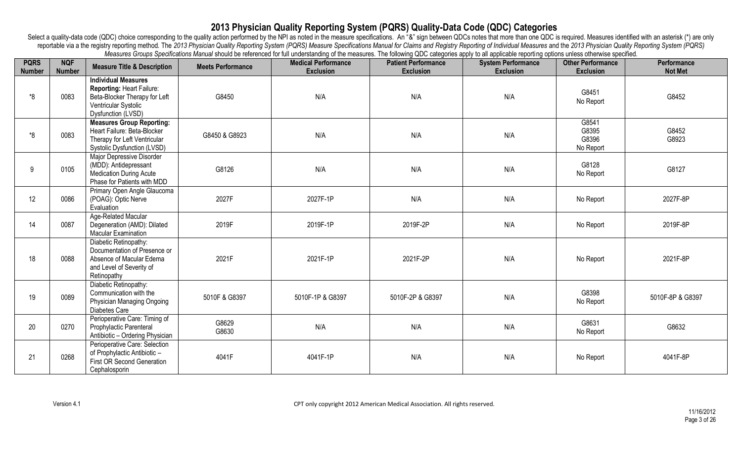| <b>PQRS</b><br><b>Number</b> | <b>NQF</b><br><b>Number</b> | <b>Measure Title &amp; Description</b>                                                                                                        | <b>Meets Performance</b> | mododroo Orodpo Opomodiono mandaronodi o roloriood ior idir dhaorotanamy or tho mododroo. The ionominy &DO odtogonoo apply to all applicable reporting options anioos othermico opomioa.<br><b>Medical Performance</b><br><b>Exclusion</b> | <b>Patient Performance</b><br><b>Exclusion</b> | <b>System Performance</b><br><b>Exclusion</b> | <b>Other Performance</b><br><b>Exclusion</b> | Performance<br><b>Not Met</b> |
|------------------------------|-----------------------------|-----------------------------------------------------------------------------------------------------------------------------------------------|--------------------------|--------------------------------------------------------------------------------------------------------------------------------------------------------------------------------------------------------------------------------------------|------------------------------------------------|-----------------------------------------------|----------------------------------------------|-------------------------------|
| *8                           | 0083                        | <b>Individual Measures</b><br><b>Reporting: Heart Failure:</b><br>Beta-Blocker Therapy for Left<br>Ventricular Systolic<br>Dysfunction (LVSD) | G8450                    | N/A                                                                                                                                                                                                                                        | N/A                                            | N/A                                           | G8451<br>No Report                           | G8452                         |
| *8                           | 0083                        | <b>Measures Group Reporting:</b><br>Heart Failure: Beta-Blocker<br>Therapy for Left Ventricular<br><b>Systolic Dysfunction (LVSD)</b>         | G8450 & G8923            | N/A                                                                                                                                                                                                                                        | N/A                                            | N/A                                           | G8541<br>G8395<br>G8396<br>No Report         | G8452<br>G8923                |
| 9                            | 0105                        | Major Depressive Disorder<br>(MDD): Antidepressant<br><b>Medication During Acute</b><br>Phase for Patients with MDD                           | G8126                    | N/A                                                                                                                                                                                                                                        | N/A                                            | N/A                                           | G8128<br>No Report                           | G8127                         |
| 12                           | 0086                        | Primary Open Angle Glaucoma<br>(POAG): Optic Nerve<br>Evaluation                                                                              | 2027F                    | 2027F-1P                                                                                                                                                                                                                                   | N/A                                            | N/A                                           | No Report                                    | 2027F-8P                      |
| 14                           | 0087                        | Age-Related Macular<br>Degeneration (AMD): Dilated<br><b>Macular Examination</b>                                                              | 2019F                    | 2019F-1P                                                                                                                                                                                                                                   | 2019F-2P                                       | N/A                                           | No Report                                    | 2019F-8P                      |
| 18                           | 0088                        | Diabetic Retinopathy:<br>Documentation of Presence or<br>Absence of Macular Edema<br>and Level of Severity of<br>Retinopathy                  | 2021F                    | 2021F-1P                                                                                                                                                                                                                                   | 2021F-2P                                       | N/A                                           | No Report                                    | 2021F-8P                      |
| 19                           | 0089                        | Diabetic Retinopathy:<br>Communication with the<br>Physician Managing Ongoing<br>Diabetes Care                                                | 5010F & G8397            | 5010F-1P & G8397                                                                                                                                                                                                                           | 5010F-2P & G8397                               | N/A                                           | G8398<br>No Report                           | 5010F-8P & G8397              |
| 20                           | 0270                        | Perioperative Care: Timing of<br>Prophylactic Parenteral<br>Antibiotic - Ordering Physician                                                   | G8629<br>G8630           | N/A                                                                                                                                                                                                                                        | N/A                                            | N/A                                           | G8631<br>No Report                           | G8632                         |
| 21                           | 0268                        | Perioperative Care: Selection<br>of Prophylactic Antibiotic -<br>First OR Second Generation<br>Cephalosporin                                  | 4041F                    | 4041F-1P                                                                                                                                                                                                                                   | N/A                                            | N/A                                           | No Report                                    | 4041F-8P                      |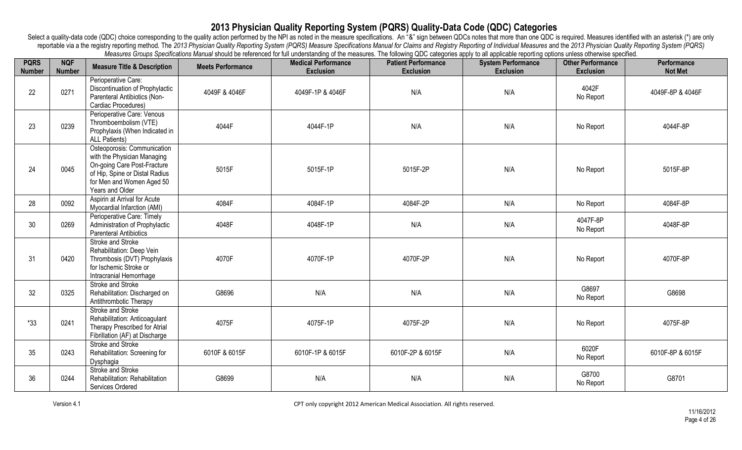| <b>PQRS</b><br><b>Number</b> | <b>NQF</b><br><b>Number</b> | <b>Measure Title &amp; Description</b>                                                                                                                                      | <b>Meets Performance</b> | incasares Oroups openinations marial should be referenced for iail understanding or the micasures. The ionoming QDO categories apply to all applicable reporting opitions unless otherwise specified.<br><b>Medical Performance</b><br><b>Exclusion</b> | <b>Patient Performance</b><br><b>Exclusion</b> | <b>System Performance</b><br><b>Exclusion</b> | <b>Other Performance</b><br><b>Exclusion</b> | <b>Performance</b><br><b>Not Met</b> |
|------------------------------|-----------------------------|-----------------------------------------------------------------------------------------------------------------------------------------------------------------------------|--------------------------|---------------------------------------------------------------------------------------------------------------------------------------------------------------------------------------------------------------------------------------------------------|------------------------------------------------|-----------------------------------------------|----------------------------------------------|--------------------------------------|
| 22                           | 0271                        | Perioperative Care:<br>Discontinuation of Prophylactic<br>Parenteral Antibiotics (Non-<br>Cardiac Procedures)                                                               | 4049F & 4046F            | 4049F-1P & 4046F                                                                                                                                                                                                                                        | N/A                                            | N/A                                           | 4042F<br>No Report                           | 4049F-8P & 4046F                     |
| 23                           | 0239                        | Perioperative Care: Venous<br>Thromboembolism (VTE)<br>Prophylaxis (When Indicated in<br><b>ALL Patients)</b>                                                               | 4044F                    | 4044F-1P                                                                                                                                                                                                                                                | N/A                                            | N/A                                           | No Report                                    | 4044F-8P                             |
| 24                           | 0045                        | Osteoporosis: Communication<br>with the Physician Managing<br>On-going Care Post-Fracture<br>of Hip, Spine or Distal Radius<br>for Men and Women Aged 50<br>Years and Older | 5015F                    | 5015F-1P                                                                                                                                                                                                                                                | 5015F-2P                                       | N/A                                           | No Report                                    | 5015F-8P                             |
| 28                           | 0092                        | Aspirin at Arrival for Acute<br>Myocardial Infarction (AMI)                                                                                                                 | 4084F                    | 4084F-1P                                                                                                                                                                                                                                                | 4084F-2P                                       | N/A                                           | No Report                                    | 4084F-8P                             |
| 30                           | 0269                        | Perioperative Care: Timely<br>Administration of Prophylactic<br><b>Parenteral Antibiotics</b>                                                                               | 4048F                    | 4048F-1P                                                                                                                                                                                                                                                | N/A                                            | N/A                                           | 4047F-8P<br>No Report                        | 4048F-8P                             |
| 31                           | 0420                        | Stroke and Stroke<br>Rehabilitation: Deep Vein<br>Thrombosis (DVT) Prophylaxis<br>for Ischemic Stroke or<br>Intracranial Hemorrhage                                         | 4070F                    | 4070F-1P                                                                                                                                                                                                                                                | 4070F-2P                                       | N/A                                           | No Report                                    | 4070F-8P                             |
| 32                           | 0325                        | Stroke and Stroke<br>Rehabilitation: Discharged on<br>Antithrombotic Therapy                                                                                                | G8696                    | N/A                                                                                                                                                                                                                                                     | N/A                                            | N/A                                           | G8697<br>No Report                           | G8698                                |
| $*33$                        | 0241                        | Stroke and Stroke<br>Rehabilitation: Anticoagulant<br>Therapy Prescribed for Atrial<br>Fibrillation (AF) at Discharge                                                       | 4075F                    | 4075F-1P                                                                                                                                                                                                                                                | 4075F-2P                                       | N/A                                           | No Report                                    | 4075F-8P                             |
| 35                           | 0243                        | Stroke and Stroke<br>Rehabilitation: Screening for<br>Dysphagia                                                                                                             | 6010F & 6015F            | 6010F-1P & 6015F                                                                                                                                                                                                                                        | 6010F-2P & 6015F                               | N/A                                           | 6020F<br>No Report                           | 6010F-8P & 6015F                     |
| 36                           | 0244                        | Stroke and Stroke<br>Rehabilitation: Rehabilitation<br>Services Ordered                                                                                                     | G8699                    | N/A                                                                                                                                                                                                                                                     | N/A                                            | N/A                                           | G8700<br>No Report                           | G8701                                |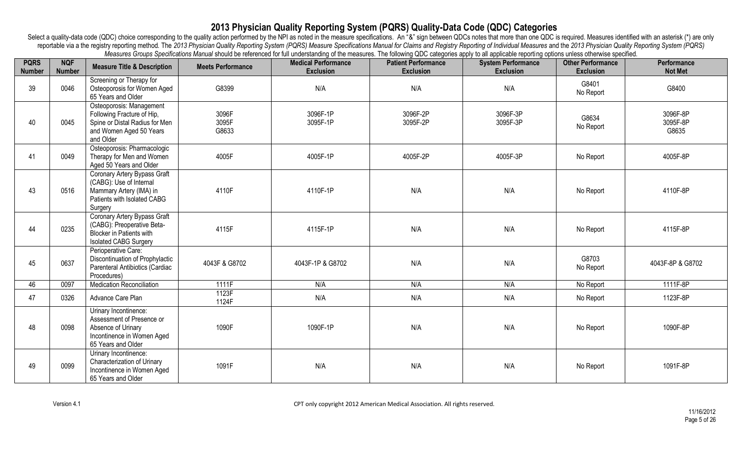| <b>PQRS</b><br><b>Number</b> | <b>NQF</b><br><b>Number</b> | <b>Measure Title &amp; Description</b>                                                                                           | <b>Meets Performance</b> | measures creaps operations manual should be referenced for iail understanding or the measures. The number of degunes apply to an applicable reporting operations aniess chief msc specified.<br><b>Medical Performance</b><br><b>Exclusion</b> | <b>Patient Performance</b><br><b>Exclusion</b> | <b>System Performance</b><br><b>Exclusion</b> | <b>Other Performance</b><br><b>Exclusion</b> | Performance<br><b>Not Met</b> |
|------------------------------|-----------------------------|----------------------------------------------------------------------------------------------------------------------------------|--------------------------|------------------------------------------------------------------------------------------------------------------------------------------------------------------------------------------------------------------------------------------------|------------------------------------------------|-----------------------------------------------|----------------------------------------------|-------------------------------|
| 39                           | 0046                        | Screening or Therapy for<br>Osteoporosis for Women Aged<br>65 Years and Older                                                    | G8399                    | N/A                                                                                                                                                                                                                                            | N/A                                            | N/A                                           | G8401<br>No Report                           | G8400                         |
| 40                           | 0045                        | Osteoporosis: Management<br>Following Fracture of Hip,<br>Spine or Distal Radius for Men<br>and Women Aged 50 Years<br>and Older | 3096F<br>3095F<br>G8633  | 3096F-1P<br>3095F-1P                                                                                                                                                                                                                           | 3096F-2P<br>3095F-2P                           | 3096F-3P<br>3095F-3P                          | G8634<br>No Report                           | 3096F-8P<br>3095F-8P<br>G8635 |
| 41                           | 0049                        | Osteoporosis: Pharmacologic<br>Therapy for Men and Women<br>Aged 50 Years and Older                                              | 4005F                    | 4005F-1P                                                                                                                                                                                                                                       | 4005F-2P                                       | 4005F-3P                                      | No Report                                    | 4005F-8P                      |
| 43                           | 0516                        | Coronary Artery Bypass Graft<br>(CABG): Use of Internal<br>Mammary Artery (IMA) in<br>Patients with Isolated CABG<br>Surgery     | 4110F                    | 4110F-1P                                                                                                                                                                                                                                       | N/A                                            | N/A                                           | No Report                                    | 4110F-8P                      |
| 44                           | 0235                        | Coronary Artery Bypass Graft<br>(CABG): Preoperative Beta-<br><b>Blocker in Patients with</b><br><b>Isolated CABG Surgery</b>    | 4115F                    | 4115F-1P                                                                                                                                                                                                                                       | N/A                                            | N/A                                           | No Report                                    | 4115F-8P                      |
| 45                           | 0637                        | Perioperative Care:<br>Discontinuation of Prophylactic<br>Parenteral Antibiotics (Cardiac<br>Procedures)                         | 4043F & G8702            | 4043F-1P & G8702                                                                                                                                                                                                                               | N/A                                            | N/A                                           | G8703<br>No Report                           | 4043F-8P & G8702              |
| 46                           | 0097                        | <b>Medication Reconciliation</b>                                                                                                 | 1111F                    | N/A                                                                                                                                                                                                                                            | N/A                                            | N/A                                           | No Report                                    | 1111F-8P                      |
| 47                           | 0326                        | Advance Care Plan                                                                                                                | 1123F<br>1124F           | N/A                                                                                                                                                                                                                                            | N/A                                            | N/A                                           | No Report                                    | 1123F-8P                      |
| 48                           | 0098                        | Urinary Incontinence:<br>Assessment of Presence or<br>Absence of Urinary<br>Incontinence in Women Aged<br>65 Years and Older     | 1090F                    | 1090F-1P                                                                                                                                                                                                                                       | N/A                                            | N/A                                           | No Report                                    | 1090F-8P                      |
| 49                           | 0099                        | Urinary Incontinence:<br>Characterization of Urinary<br>Incontinence in Women Aged<br>65 Years and Older                         | 1091F                    | N/A                                                                                                                                                                                                                                            | N/A                                            | N/A                                           | No Report                                    | 1091F-8P                      |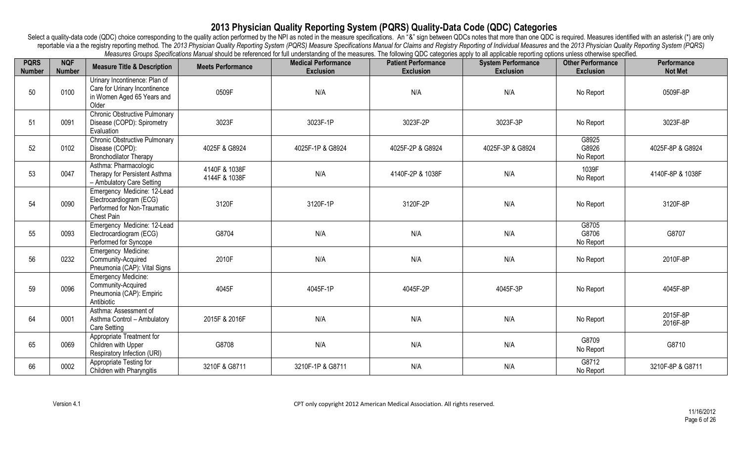| <b>PQRS</b><br><b>Number</b> | <b>NQF</b><br><b>Number</b> | <b>Measure Title &amp; Description</b>                                                                | <b>Meets Performance</b>       | mcasarco Orodpo Opomoaiono manda onoaia bo icioichou ionian anuorotanany or tho moasarco. The ninoming QDO catogones apply to an applicable reporting Options aniess othermos opomica.<br><b>Medical Performance</b><br><b>Exclusion</b> | <b>Patient Performance</b><br><b>Exclusion</b> | <b>System Performance</b><br><b>Exclusion</b> | <b>Other Performance</b><br><b>Exclusion</b> | Performance<br><b>Not Met</b> |
|------------------------------|-----------------------------|-------------------------------------------------------------------------------------------------------|--------------------------------|------------------------------------------------------------------------------------------------------------------------------------------------------------------------------------------------------------------------------------------|------------------------------------------------|-----------------------------------------------|----------------------------------------------|-------------------------------|
| 50                           | 0100                        | Urinary Incontinence: Plan of<br>Care for Urinary Incontinence<br>in Women Aged 65 Years and<br>Older | 0509F                          | N/A                                                                                                                                                                                                                                      | N/A                                            | N/A                                           | No Report                                    | 0509F-8P                      |
| 51                           | 0091                        | Chronic Obstructive Pulmonary<br>Disease (COPD): Spirometry<br>Evaluation                             | 3023F                          | 3023F-1P                                                                                                                                                                                                                                 | 3023F-2P                                       | 3023F-3P                                      | No Report                                    | 3023F-8P                      |
| 52                           | 0102                        | <b>Chronic Obstructive Pulmonary</b><br>Disease (COPD):<br><b>Bronchodilator Therapy</b>              | 4025F & G8924                  | 4025F-1P & G8924                                                                                                                                                                                                                         | 4025F-2P & G8924                               | 4025F-3P & G8924                              | G8925<br>G8926<br>No Report                  | 4025F-8P & G8924              |
| 53                           | 0047                        | Asthma: Pharmacologic<br>Therapy for Persistent Asthma<br>- Ambulatory Care Setting                   | 4140F & 1038F<br>4144F & 1038F | N/A                                                                                                                                                                                                                                      | 4140F-2P & 1038F                               | N/A                                           | 1039F<br>No Report                           | 4140F-8P & 1038F              |
| 54                           | 0090                        | Emergency Medicine: 12-Lead<br>Electrocardiogram (ECG)<br>Performed for Non-Traumatic<br>Chest Pain   | 3120F                          | 3120F-1P                                                                                                                                                                                                                                 | 3120F-2P                                       | N/A                                           | No Report                                    | 3120F-8P                      |
| 55                           | 0093                        | Emergency Medicine: 12-Lead<br>Electrocardiogram (ECG)<br>Performed for Syncope                       | G8704                          | N/A                                                                                                                                                                                                                                      | N/A                                            | N/A                                           | G8705<br>G8706<br>No Report                  | G8707                         |
| 56                           | 0232                        | <b>Emergency Medicine:</b><br>Community-Acquired<br>Pneumonia (CAP): Vital Signs                      | 2010F                          | N/A                                                                                                                                                                                                                                      | N/A                                            | N/A                                           | No Report                                    | 2010F-8P                      |
| 59                           | 0096                        | <b>Emergency Medicine:</b><br>Community-Acquired<br>Pneumonia (CAP): Empiric<br>Antibiotic            | 4045F                          | 4045F-1P                                                                                                                                                                                                                                 | 4045F-2P                                       | 4045F-3P                                      | No Report                                    | 4045F-8P                      |
| 64                           | 0001                        | Asthma: Assessment of<br>Asthma Control - Ambulatory<br><b>Care Setting</b>                           | 2015F & 2016F                  | N/A                                                                                                                                                                                                                                      | N/A                                            | N/A                                           | No Report                                    | 2015F-8P<br>2016F-8P          |
| 65                           | 0069                        | Appropriate Treatment for<br>Children with Upper<br>Respiratory Infection (URI)                       | G8708                          | N/A                                                                                                                                                                                                                                      | N/A                                            | N/A                                           | G8709<br>No Report                           | G8710                         |
| 66                           | 0002                        | Appropriate Testing for<br>Children with Pharyngitis                                                  | 3210F & G8711                  | 3210F-1P & G8711                                                                                                                                                                                                                         | N/A                                            | N/A                                           | G8712<br>No Report                           | 3210F-8P & G8711              |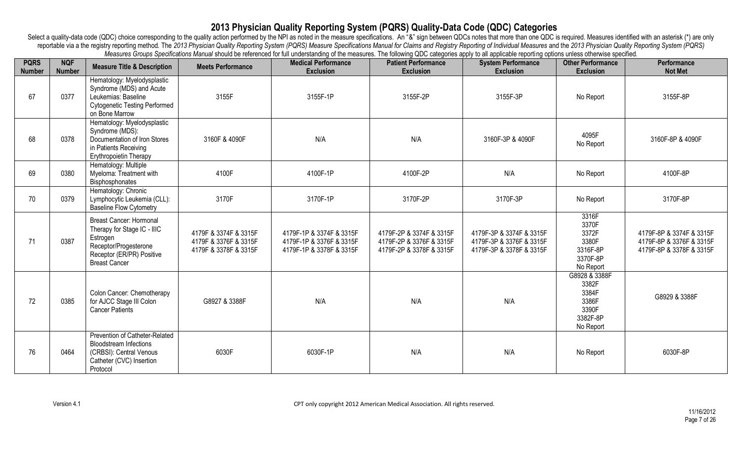| <b>PQRS</b><br><b>Number</b> | <b>NQF</b><br><b>Number</b> | <b>Measure Title &amp; Description</b>                                                                                                           | <b>Meets Performance</b>                                                | mododroo Orodpo Opomiodrono mandar oriodu oo roloriood ior idii dhaqraarahiig or ho mododroo. Tho idiiomhy &DO odtogonoo apply to dii appliodolo roportrig opticho dhood othormioo opomiod.<br><b>Medical Performance</b><br><b>Exclusion</b> | <b>Patient Performance</b><br><b>Exclusion</b>                                   | <b>System Performance</b><br><b>Exclusion</b>                                    | <b>Other Performance</b><br><b>Exclusion</b>                               | <b>Performance</b><br><b>Not Met</b>                                             |
|------------------------------|-----------------------------|--------------------------------------------------------------------------------------------------------------------------------------------------|-------------------------------------------------------------------------|-----------------------------------------------------------------------------------------------------------------------------------------------------------------------------------------------------------------------------------------------|----------------------------------------------------------------------------------|----------------------------------------------------------------------------------|----------------------------------------------------------------------------|----------------------------------------------------------------------------------|
| 67                           | 0377                        | Hematology: Myelodysplastic<br>Syndrome (MDS) and Acute<br>Leukemias: Baseline<br><b>Cytogenetic Testing Performed</b><br>on Bone Marrow         | 3155F                                                                   | 3155F-1P                                                                                                                                                                                                                                      | 3155F-2P                                                                         | 3155F-3P                                                                         | No Report                                                                  | 3155F-8P                                                                         |
| 68                           | 0378                        | Hematology: Myelodysplastic<br>Syndrome (MDS):<br>Documentation of Iron Stores<br>in Patients Receiving<br>Erythropoietin Therapy                | 3160F & 4090F                                                           | N/A                                                                                                                                                                                                                                           | N/A                                                                              | 3160F-3P & 4090F                                                                 | 4095F<br>No Report                                                         | 3160F-8P & 4090F                                                                 |
| 69                           | 0380                        | Hematology: Multiple<br>Myeloma: Treatment with<br>Bisphosphonates                                                                               | 4100F                                                                   | 4100F-1P                                                                                                                                                                                                                                      | 4100F-2P                                                                         | N/A                                                                              | No Report                                                                  | 4100F-8P                                                                         |
| 70                           | 0379                        | Hematology: Chronic<br>Lymphocytic Leukemia (CLL):<br>Baseline Flow Cytometry                                                                    | 3170F                                                                   | 3170F-1P                                                                                                                                                                                                                                      | 3170F-2P                                                                         | 3170F-3P                                                                         | No Report                                                                  | 3170F-8P                                                                         |
| 71                           | 0387                        | Breast Cancer: Hormonal<br>Therapy for Stage IC - IIIC<br>Estrogen<br>Receptor/Progesterone<br>Receptor (ER/PR) Positive<br><b>Breast Cancer</b> | 4179F & 3374F & 3315F<br>4179F & 3376F & 3315F<br>4179F & 3378F & 3315F | 4179F-1P & 3374F & 3315F<br>4179F-1P & 3376F & 3315F<br>4179F-1P & 3378F & 3315F                                                                                                                                                              | 4179F-2P & 3374F & 3315F<br>4179F-2P & 3376F & 3315F<br>4179F-2P & 3378F & 3315F | 4179F-3P & 3374F & 3315F<br>4179F-3P & 3376F & 3315F<br>4179F-3P & 3378F & 3315F | 3316F<br>3370F<br>3372F<br>3380F<br>3316F-8P<br>3370F-8P<br>No Report      | 4179F-8P & 3374F & 3315F<br>4179F-8P & 3376F & 3315F<br>4179F-8P & 3378F & 3315F |
| 72                           | 0385                        | Colon Cancer: Chemotherapy<br>for AJCC Stage III Colon<br><b>Cancer Patients</b>                                                                 | G8927 & 3388F                                                           | N/A                                                                                                                                                                                                                                           | N/A                                                                              | N/A                                                                              | G8928 & 3388F<br>3382F<br>3384F<br>3386F<br>3390F<br>3382F-8P<br>No Report | G8929 & 3388F                                                                    |
| 76                           | 0464                        | Prevention of Catheter-Related<br><b>Bloodstream Infections</b><br>(CRBSI): Central Venous<br>Catheter (CVC) Insertion<br>Protocol               | 6030F                                                                   | 6030F-1P                                                                                                                                                                                                                                      | N/A                                                                              | N/A                                                                              | No Report                                                                  | 6030F-8P                                                                         |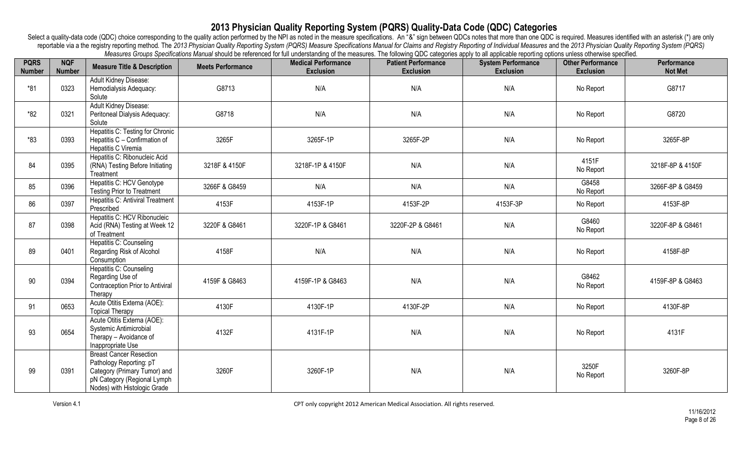| <b>PQRS</b><br><b>Number</b> | <b>NQF</b><br><b>Number</b> | <b>Measure Title &amp; Description</b>                                                                                                                   | <b>Meets Performance</b> | measures creaps operations mariaa should be referenced for iail anderstanding or the measures. The renowing QDO categories apply to an applicable reporting options aniess circumse specified.<br><b>Medical Performance</b><br><b>Exclusion</b> | <b>Patient Performance</b><br><b>Exclusion</b> | <b>System Performance</b><br><b>Exclusion</b> | <b>Other Performance</b><br><b>Exclusion</b> | Performance<br><b>Not Met</b> |
|------------------------------|-----------------------------|----------------------------------------------------------------------------------------------------------------------------------------------------------|--------------------------|--------------------------------------------------------------------------------------------------------------------------------------------------------------------------------------------------------------------------------------------------|------------------------------------------------|-----------------------------------------------|----------------------------------------------|-------------------------------|
| $*81$                        | 0323                        | Adult Kidney Disease:<br>Hemodialysis Adequacy:<br>Solute                                                                                                | G8713                    | N/A                                                                                                                                                                                                                                              | N/A                                            | N/A                                           | No Report                                    | G8717                         |
| $*82$                        | 0321                        | Adult Kidney Disease:<br>Peritoneal Dialysis Adequacy:<br>Solute                                                                                         | G8718                    | N/A                                                                                                                                                                                                                                              | N/A                                            | N/A                                           | No Report                                    | G8720                         |
| $*83$                        | 0393                        | Hepatitis C: Testing for Chronic<br>Hepatitis C - Confirmation of<br>Hepatitis C Viremia                                                                 | 3265F                    | 3265F-1P                                                                                                                                                                                                                                         | 3265F-2P                                       | N/A                                           | No Report                                    | 3265F-8P                      |
| 84                           | 0395                        | Hepatitis C: Ribonucleic Acid<br>(RNA) Testing Before Initiating<br>Treatment                                                                            | 3218F & 4150F            | 3218F-1P & 4150F                                                                                                                                                                                                                                 | N/A                                            | N/A                                           | 4151F<br>No Report                           | 3218F-8P & 4150F              |
| 85                           | 0396                        | Hepatitis C: HCV Genotype<br><b>Testing Prior to Treatment</b>                                                                                           | 3266F & G8459            | N/A                                                                                                                                                                                                                                              | N/A                                            | N/A                                           | G8458<br>No Report                           | 3266F-8P & G8459              |
| 86                           | 0397                        | <b>Hepatitis C: Antiviral Treatment</b><br>Prescribed                                                                                                    | 4153F                    | 4153F-1P                                                                                                                                                                                                                                         | 4153F-2P                                       | 4153F-3P                                      | No Report                                    | 4153F-8P                      |
| 87                           | 0398                        | Hepatitis C: HCV Ribonucleic<br>Acid (RNA) Testing at Week 12<br>of Treatment                                                                            | 3220F & G8461            | 3220F-1P & G8461                                                                                                                                                                                                                                 | 3220F-2P & G8461                               | N/A                                           | G8460<br>No Report                           | 3220F-8P & G8461              |
| 89                           | 0401                        | Hepatitis C: Counseling<br>Regarding Risk of Alcohol<br>Consumption                                                                                      | 4158F                    | N/A                                                                                                                                                                                                                                              | N/A                                            | N/A                                           | No Report                                    | 4158F-8P                      |
| 90                           | 0394                        | Hepatitis C: Counseling<br>Regarding Use of<br>Contraception Prior to Antiviral<br>Therapy                                                               | 4159F & G8463            | 4159F-1P & G8463                                                                                                                                                                                                                                 | N/A                                            | N/A                                           | G8462<br>No Report                           | 4159F-8P & G8463              |
| 91                           | 0653                        | Acute Otitis Externa (AOE):<br><b>Topical Therapy</b>                                                                                                    | 4130F                    | 4130F-1P                                                                                                                                                                                                                                         | 4130F-2P                                       | N/A                                           | No Report                                    | 4130F-8P                      |
| 93                           | 0654                        | Acute Otitis Externa (AOE):<br>Systemic Antimicrobial<br>Therapy - Avoidance of<br>Inappropriate Use                                                     | 4132F                    | 4131F-1P                                                                                                                                                                                                                                         | N/A                                            | N/A                                           | No Report                                    | 4131F                         |
| 99                           | 0391                        | <b>Breast Cancer Resection</b><br>Pathology Reporting: pT<br>Category (Primary Tumor) and<br>pN Category (Regional Lymph<br>Nodes) with Histologic Grade | 3260F                    | 3260F-1P                                                                                                                                                                                                                                         | N/A                                            | N/A                                           | 3250F<br>No Report                           | 3260F-8P                      |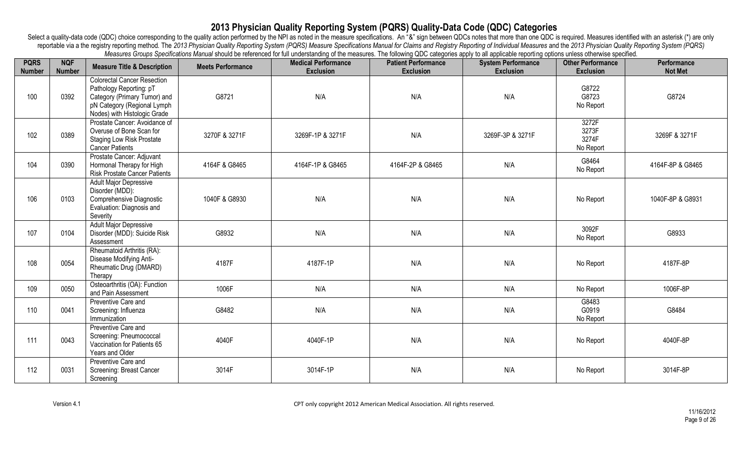| <b>PQRS</b><br><b>Number</b> | <b>NQF</b><br><b>Number</b> | <b>Measure Title &amp; Description</b>                                                                                                                       | <b>Meets Performance</b> | mododroo Orodpo Opomrodiono mandar onodicio bo roioniood ior iail andorotanality or tho mododroo. The ionominy QDO odtogonoo apply to all application reporting optionio aniooo other micro opomrodi.<br><b>Medical Performance</b><br><b>Exclusion</b> | <b>Patient Performance</b><br><b>Exclusion</b> | <b>System Performance</b><br><b>Exclusion</b> | <b>Other Performance</b><br><b>Exclusion</b> | Performance<br><b>Not Met</b> |
|------------------------------|-----------------------------|--------------------------------------------------------------------------------------------------------------------------------------------------------------|--------------------------|---------------------------------------------------------------------------------------------------------------------------------------------------------------------------------------------------------------------------------------------------------|------------------------------------------------|-----------------------------------------------|----------------------------------------------|-------------------------------|
| 100                          | 0392                        | <b>Colorectal Cancer Resection</b><br>Pathology Reporting: pT<br>Category (Primary Tumor) and<br>pN Category (Regional Lymph<br>Nodes) with Histologic Grade | G8721                    | N/A                                                                                                                                                                                                                                                     | N/A                                            | N/A                                           | G8722<br>G8723<br>No Report                  | G8724                         |
| 102                          | 0389                        | Prostate Cancer: Avoidance of<br>Overuse of Bone Scan for<br><b>Staging Low Risk Prostate</b><br><b>Cancer Patients</b>                                      | 3270F & 3271F            | 3269F-1P & 3271F                                                                                                                                                                                                                                        | N/A                                            | 3269F-3P & 3271F                              | 3272F<br>3273F<br>3274F<br>No Report         | 3269F & 3271F                 |
| 104                          | 0390                        | Prostate Cancer: Adjuvant<br>Hormonal Therapy for High<br><b>Risk Prostate Cancer Patients</b>                                                               | 4164F & G8465            | 4164F-1P & G8465                                                                                                                                                                                                                                        | 4164F-2P & G8465                               | N/A                                           | G8464<br>No Report                           | 4164F-8P & G8465              |
| 106                          | 0103                        | <b>Adult Major Depressive</b><br>Disorder (MDD):<br>Comprehensive Diagnostic<br>Evaluation: Diagnosis and<br>Severity                                        | 1040F & G8930            | N/A                                                                                                                                                                                                                                                     | N/A                                            | N/A                                           | No Report                                    | 1040F-8P & G8931              |
| 107                          | 0104                        | <b>Adult Major Depressive</b><br>Disorder (MDD): Suicide Risk<br>Assessment                                                                                  | G8932                    | N/A                                                                                                                                                                                                                                                     | N/A                                            | N/A                                           | 3092F<br>No Report                           | G8933                         |
| 108                          | 0054                        | Rheumatoid Arthritis (RA):<br>Disease Modifying Anti-<br>Rheumatic Drug (DMARD)<br>Therapy                                                                   | 4187F                    | 4187F-1P                                                                                                                                                                                                                                                | N/A                                            | N/A                                           | No Report                                    | 4187F-8P                      |
| 109                          | 0050                        | Osteoarthritis (OA): Function<br>and Pain Assessment                                                                                                         | 1006F                    | N/A                                                                                                                                                                                                                                                     | N/A                                            | N/A                                           | No Report                                    | 1006F-8P                      |
| 110                          | 0041                        | Preventive Care and<br>Screening: Influenza<br>Immunization                                                                                                  | G8482                    | N/A                                                                                                                                                                                                                                                     | N/A                                            | N/A                                           | G8483<br>G0919<br>No Report                  | G8484                         |
| 111                          | 0043                        | Preventive Care and<br>Screening: Pneumococcal<br>Vaccination for Patients 65<br>Years and Older                                                             | 4040F                    | 4040F-1P                                                                                                                                                                                                                                                | N/A                                            | N/A                                           | No Report                                    | 4040F-8P                      |
| 112                          | 0031                        | Preventive Care and<br>Screening: Breast Cancer<br>Screening                                                                                                 | 3014F                    | 3014F-1P                                                                                                                                                                                                                                                | N/A                                            | N/A                                           | No Report                                    | 3014F-8P                      |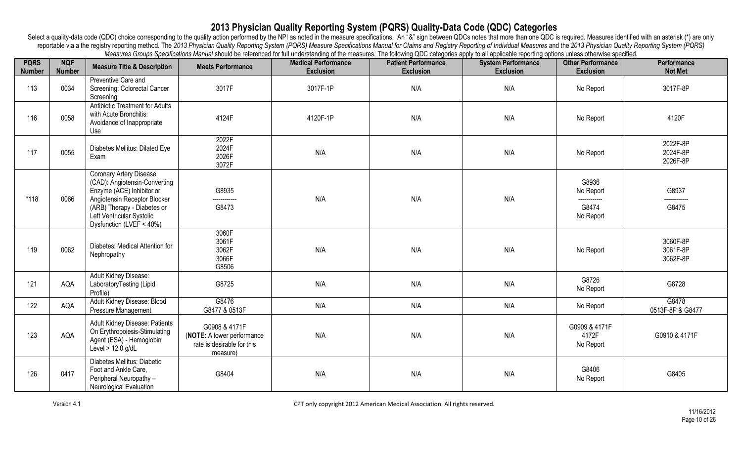| <b>PQRS</b><br><b>Number</b> | <b>NQF</b><br><b>Number</b> | <b>Measure Title &amp; Description</b>                                                                                                                                                                        | <b>Meets Performance</b>                                                              | measures creaps operations mariaa should be referenced for iail anderstanding or the measures. The renowing QDO categories apply to an applicable reporting options aniess circumse specified.<br><b>Medical Performance</b><br><b>Exclusion</b> | <b>Patient Performance</b><br><b>Exclusion</b> | <b>System Performance</b><br><b>Exclusion</b> | <b>Other Performance</b><br><b>Exclusion</b>             | Performance<br><b>Not Met</b>    |
|------------------------------|-----------------------------|---------------------------------------------------------------------------------------------------------------------------------------------------------------------------------------------------------------|---------------------------------------------------------------------------------------|--------------------------------------------------------------------------------------------------------------------------------------------------------------------------------------------------------------------------------------------------|------------------------------------------------|-----------------------------------------------|----------------------------------------------------------|----------------------------------|
| 113                          | 0034                        | Preventive Care and<br>Screening: Colorectal Cancer<br>Screening                                                                                                                                              | 3017F                                                                                 | 3017F-1P                                                                                                                                                                                                                                         | N/A                                            | N/A                                           | No Report                                                | 3017F-8P                         |
| 116                          | 0058                        | <b>Antibiotic Treatment for Adults</b><br>with Acute Bronchitis:<br>Avoidance of Inappropriate<br>Use                                                                                                         | 4124F                                                                                 | 4120F-1P                                                                                                                                                                                                                                         | N/A                                            | N/A                                           | No Report                                                | 4120F                            |
| 117                          | 0055                        | Diabetes Mellitus: Dilated Eye<br>Exam                                                                                                                                                                        | 2022F<br>2024F<br>2026F<br>3072F                                                      | N/A                                                                                                                                                                                                                                              | N/A                                            | N/A                                           | No Report                                                | 2022F-8P<br>2024F-8P<br>2026F-8P |
| $*118$                       | 0066                        | Coronary Artery Disease<br>(CAD): Angiotensin-Converting<br>Enzyme (ACE) Inhibitor or<br>Angiotensin Receptor Blocker<br>(ARB) Therapy - Diabetes or<br>Left Ventricular Systolic<br>Dysfunction (LVEF < 40%) | G8935<br>------------<br>G8473                                                        | N/A                                                                                                                                                                                                                                              | N/A                                            | N/A                                           | G8936<br>No Report<br>------------<br>G8474<br>No Report | G8937<br>-----------<br>G8475    |
| 119                          | 0062                        | Diabetes: Medical Attention for<br>Nephropathy                                                                                                                                                                | 3060F<br>3061F<br>3062F<br>3066F<br>G8506                                             | N/A                                                                                                                                                                                                                                              | N/A                                            | N/A                                           | No Report                                                | 3060F-8P<br>3061F-8P<br>3062F-8P |
| 121                          | AQA                         | Adult Kidney Disease:<br>LaboratoryTesting (Lipid<br>Profile)                                                                                                                                                 | G8725                                                                                 | N/A                                                                                                                                                                                                                                              | N/A                                            | N/A                                           | G8726<br>No Report                                       | G8728                            |
| 122                          | AQA                         | Adult Kidney Disease: Blood<br>Pressure Management                                                                                                                                                            | G8476<br>G8477 & 0513F                                                                | N/A                                                                                                                                                                                                                                              | N/A                                            | N/A                                           | No Report                                                | G8478<br>0513F-8P & G8477        |
| 123                          | AQA                         | Adult Kidney Disease: Patients<br>On Erythropoiesis-Stimulating<br>Agent (ESA) - Hemoglobin<br>Level $> 12.0$ g/dL                                                                                            | G0908 & 4171F<br>(NOTE: A lower performance<br>rate is desirable for this<br>measure) | N/A                                                                                                                                                                                                                                              | N/A                                            | N/A                                           | G0909 & 4171F<br>4172F<br>No Report                      | G0910 & 4171F                    |
| 126                          | 0417                        | Diabetes Mellitus: Diabetic<br>Foot and Ankle Care,<br>Peripheral Neuropathy -<br>Neurological Evaluation                                                                                                     | G8404                                                                                 | N/A                                                                                                                                                                                                                                              | N/A                                            | N/A                                           | G8406<br>No Report                                       | G8405                            |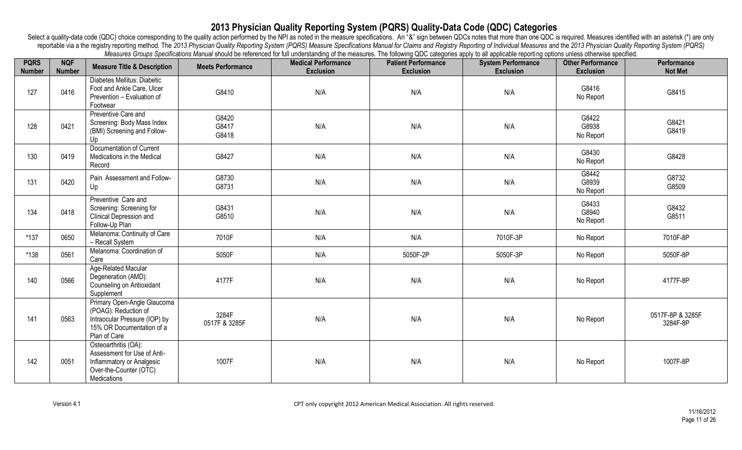| <b>PQRS</b><br><b>Number</b> | <b>NQF</b><br><b>Number</b> | <b>Measure Title &amp; Description</b>                                                                                            | <b>Meets Performance</b> | incasures Groups operintations manual should be relefenced for unit understanding or the measures. The ionoming QDC talegones apply to all applicable reporting opitions unless otherwise specified.<br><b>Medical Performance</b><br><b>Exclusion</b> | <b>Patient Performance</b><br><b>Exclusion</b> | <b>System Performance</b><br><b>Exclusion</b> | <b>Other Performance</b><br><b>Exclusion</b> | Performance<br><b>Not Met</b> |
|------------------------------|-----------------------------|-----------------------------------------------------------------------------------------------------------------------------------|--------------------------|--------------------------------------------------------------------------------------------------------------------------------------------------------------------------------------------------------------------------------------------------------|------------------------------------------------|-----------------------------------------------|----------------------------------------------|-------------------------------|
| 127                          | 0416                        | Diabetes Mellitus: Diabetic<br>Foot and Ankle Care, Ulcer<br>Prevention - Evaluation of<br>Footwear                               | G8410                    | N/A                                                                                                                                                                                                                                                    | N/A                                            | N/A                                           | G8416<br>No Report                           | G8415                         |
| 128                          | 0421                        | Preventive Care and<br>Screening: Body Mass Index<br>(BMI) Screening and Follow-<br>Up                                            | G8420<br>G8417<br>G8418  | N/A                                                                                                                                                                                                                                                    | N/A                                            | N/A                                           | G8422<br>G8938<br>No Report                  | G8421<br>G8419                |
| 130                          | 0419                        | Documentation of Current<br>Medications in the Medical<br>Record                                                                  | G8427                    | N/A                                                                                                                                                                                                                                                    | N/A                                            | N/A                                           | G8430<br>No Report                           | G8428                         |
| 131                          | 0420                        | Pain Assessment and Follow-<br>Up                                                                                                 | G8730<br>G8731           | N/A                                                                                                                                                                                                                                                    | N/A                                            | N/A                                           | G8442<br>G8939<br>No Report                  | G8732<br>G8509                |
| 134                          | 0418                        | Preventive Care and<br>Screening: Screening for<br>Clinical Depression and<br>Follow-Up Plan                                      | G8431<br>G8510           | N/A                                                                                                                                                                                                                                                    | N/A                                            | N/A                                           | G8433<br>G8940<br>No Report                  | G8432<br>G8511                |
| $*137$                       | 0650                        | Melanoma: Continuity of Care<br>- Recall System                                                                                   | 7010F                    | N/A                                                                                                                                                                                                                                                    | N/A                                            | 7010F-3P                                      | No Report                                    | 7010F-8P                      |
| $*138$                       | 0561                        | Melanoma: Coordination of<br>Care                                                                                                 | 5050F                    | N/A                                                                                                                                                                                                                                                    | 5050F-2P                                       | 5050F-3P                                      | No Report                                    | 5050F-8P                      |
| 140                          | 0566                        | Age-Related Macular<br>Degeneration (AMD):<br>Counseling on Antioxidant<br>Supplement                                             | 4177F                    | N/A                                                                                                                                                                                                                                                    | N/A                                            | N/A                                           | No Report                                    | 4177F-8P                      |
| 141                          | 0563                        | Primary Open-Angle Glaucoma<br>(POAG): Reduction of<br>Intraocular Pressure (IOP) by<br>15% OR Documentation of a<br>Plan of Care | 3284F<br>0517F & 3285F   | N/A                                                                                                                                                                                                                                                    | N/A                                            | N/A                                           | No Report                                    | 0517F-8P & 3285F<br>3284F-8P  |
| 142                          | 0051                        | Osteoarthritis (OA):<br>Assessment for Use of Anti-<br>Inflammatory or Analgesic<br>Over-the-Counter (OTC)<br>Medications         | 1007F                    | N/A                                                                                                                                                                                                                                                    | N/A                                            | N/A                                           | No Report                                    | 1007F-8P                      |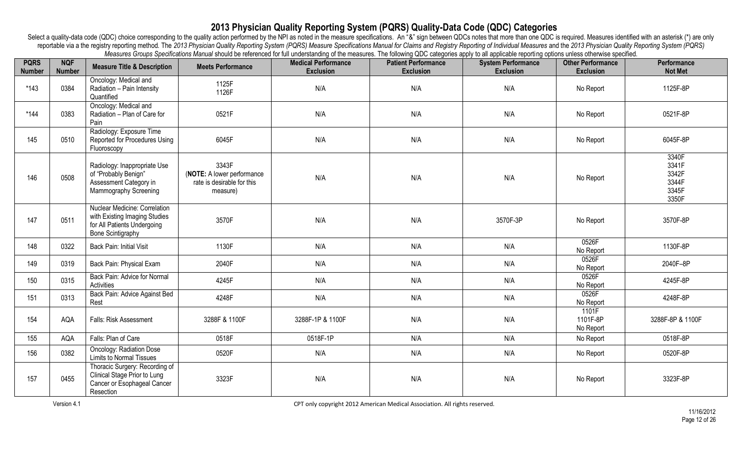| <b>PQRS</b><br><b>Number</b> | <b>NQF</b><br><b>Number</b> | <b>Measure Title &amp; Description</b>                                                                                    | <b>Meets Performance</b>                                                      | measures creaps operations manual should be referenced for iail understanding or the measures. The rulewing QDO categories apply to all applicable reporting options aniess strict wise specified.<br><b>Medical Performance</b><br><b>Exclusion</b> | <b>Patient Performance</b><br><b>Exclusion</b> | <b>System Performance</b><br><b>Exclusion</b> | <b>Other Performance</b><br><b>Exclusion</b> | Performance<br><b>Not Met</b>                      |
|------------------------------|-----------------------------|---------------------------------------------------------------------------------------------------------------------------|-------------------------------------------------------------------------------|------------------------------------------------------------------------------------------------------------------------------------------------------------------------------------------------------------------------------------------------------|------------------------------------------------|-----------------------------------------------|----------------------------------------------|----------------------------------------------------|
| $*143$                       | 0384                        | Oncology: Medical and<br>Radiation - Pain Intensity<br>Quantified                                                         | 1125F<br>1126F                                                                | N/A                                                                                                                                                                                                                                                  | N/A                                            | N/A                                           | No Report                                    | 1125F-8P                                           |
| $*144$                       | 0383                        | Oncology: Medical and<br>Radiation - Plan of Care for<br>Pain                                                             | 0521F                                                                         | N/A                                                                                                                                                                                                                                                  | N/A                                            | N/A                                           | No Report                                    | 0521F-8P                                           |
| 145                          | 0510                        | Radiology: Exposure Time<br>Reported for Procedures Using<br>Fluoroscopy                                                  | 6045F                                                                         | N/A                                                                                                                                                                                                                                                  | N/A                                            | N/A                                           | No Report                                    | 6045F-8P                                           |
| 146                          | 0508                        | Radiology: Inappropriate Use<br>of "Probably Benign"<br>Assessment Category in<br>Mammography Screening                   | 3343F<br>(NOTE: A lower performance<br>rate is desirable for this<br>measure) | N/A                                                                                                                                                                                                                                                  | N/A                                            | N/A                                           | No Report                                    | 3340F<br>3341F<br>3342F<br>3344F<br>3345F<br>3350F |
| 147                          | 0511                        | Nuclear Medicine: Correlation<br>with Existing Imaging Studies<br>for All Patients Undergoing<br><b>Bone Scintigraphy</b> | 3570F                                                                         | N/A                                                                                                                                                                                                                                                  | N/A                                            | 3570F-3P                                      | No Report                                    | 3570F-8P                                           |
| 148                          | 0322                        | Back Pain: Initial Visit                                                                                                  | 1130F                                                                         | N/A                                                                                                                                                                                                                                                  | N/A                                            | N/A                                           | 0526F<br>No Report                           | 1130F-8P                                           |
| 149                          | 0319                        | Back Pain: Physical Exam                                                                                                  | 2040F                                                                         | N/A                                                                                                                                                                                                                                                  | N/A                                            | N/A                                           | 0526F<br>No Report                           | 2040F-8P                                           |
| 150                          | 0315                        | Back Pain: Advice for Normal<br>Activities                                                                                | 4245F                                                                         | N/A                                                                                                                                                                                                                                                  | N/A                                            | N/A                                           | 0526F<br>No Report                           | 4245F-8P                                           |
| 151                          | 0313                        | Back Pain: Advice Against Bed<br>Rest                                                                                     | 4248F                                                                         | N/A                                                                                                                                                                                                                                                  | N/A                                            | N/A                                           | 0526F<br>No Report                           | 4248F-8P                                           |
| 154                          | AQA                         | Falls: Risk Assessment                                                                                                    | 3288F & 1100F                                                                 | 3288F-1P & 1100F                                                                                                                                                                                                                                     | N/A                                            | N/A                                           | 1101F<br>1101F-8P<br>No Report               | 3288F-8P & 1100F                                   |
| 155                          | AQA                         | Falls: Plan of Care                                                                                                       | 0518F                                                                         | 0518F-1P                                                                                                                                                                                                                                             | N/A                                            | N/A                                           | No Report                                    | 0518F-8P                                           |
| 156                          | 0382                        | <b>Oncology: Radiation Dose</b><br><b>Limits to Normal Tissues</b>                                                        | 0520F                                                                         | N/A                                                                                                                                                                                                                                                  | N/A                                            | N/A                                           | No Report                                    | 0520F-8P                                           |
| 157                          | 0455                        | Thoracic Surgery: Recording of<br>Clinical Stage Prior to Lung<br>Cancer or Esophageal Cancer<br>Resection                | 3323F                                                                         | N/A                                                                                                                                                                                                                                                  | N/A                                            | N/A                                           | No Report                                    | 3323F-8P                                           |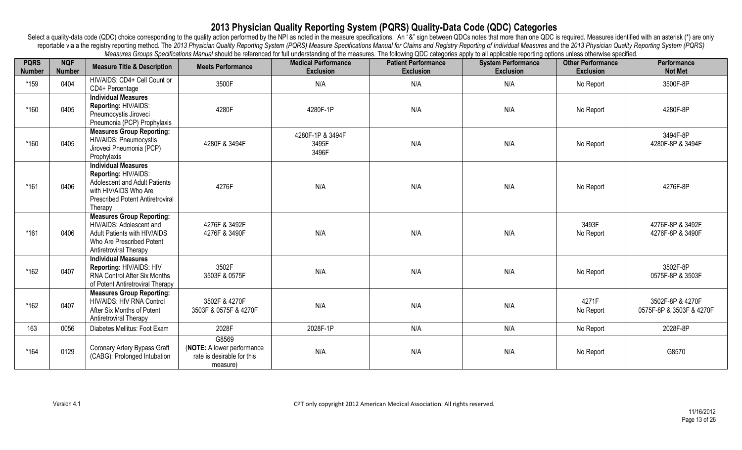| <b>PQRS</b><br><b>Number</b> | <b>NQF</b><br><b>Number</b> | <b>Measure Title &amp; Description</b>                                                                                                                             | <b>Meets Performance</b>                                                      | incastrics Oroups openinations martial should be referenced for thir understanding or the micastres. The ionoming QDO categories apply to all applicable reporting opitions unless otherwise specified.<br><b>Medical Performance</b><br><b>Exclusion</b> | <b>Patient Performance</b><br><b>Exclusion</b> | <b>System Performance</b><br><b>Exclusion</b> | <b>Other Performance</b><br><b>Exclusion</b> | Performance<br><b>Not Met</b>                |
|------------------------------|-----------------------------|--------------------------------------------------------------------------------------------------------------------------------------------------------------------|-------------------------------------------------------------------------------|-----------------------------------------------------------------------------------------------------------------------------------------------------------------------------------------------------------------------------------------------------------|------------------------------------------------|-----------------------------------------------|----------------------------------------------|----------------------------------------------|
| *159                         | 0404                        | HIV/AIDS: CD4+ Cell Count or<br>CD4+ Percentage                                                                                                                    | 3500F                                                                         | N/A                                                                                                                                                                                                                                                       | N/A                                            | N/A                                           | No Report                                    | 3500F-8P                                     |
| *160                         | 0405                        | <b>Individual Measures</b><br>Reporting: HIV/AIDS:<br>Pneumocystis Jiroveci<br>Pneumonia (PCP) Prophylaxis                                                         | 4280F                                                                         | 4280F-1P                                                                                                                                                                                                                                                  | N/A                                            | N/A                                           | No Report                                    | 4280F-8P                                     |
| *160                         | 0405                        | <b>Measures Group Reporting:</b><br>HIV/AIDS: Pneumocystis<br>Jiroveci Pneumonia (PCP)<br>Prophylaxis                                                              | 4280F & 3494F                                                                 | 4280F-1P & 3494F<br>3495F<br>3496F                                                                                                                                                                                                                        | N/A                                            | N/A                                           | No Report                                    | 3494F-8P<br>4280F-8P & 3494F                 |
| $*161$                       | 0406                        | <b>Individual Measures</b><br>Reporting: HIV/AIDS:<br>Adolescent and Adult Patients<br>with HIV/AIDS Who Are<br><b>Prescribed Potent Antiretroviral</b><br>Therapy | 4276F                                                                         | N/A                                                                                                                                                                                                                                                       | N/A                                            | N/A                                           | No Report                                    | 4276F-8P                                     |
| $*161$                       | 0406                        | <b>Measures Group Reporting:</b><br>HIV/AIDS: Adolescent and<br>Adult Patients with HIV/AIDS<br>Who Are Prescribed Potent<br>Antiretroviral Therapy                | 4276F & 3492F<br>4276F & 3490F                                                | N/A                                                                                                                                                                                                                                                       | N/A                                            | N/A                                           | 3493F<br>No Report                           | 4276F-8P & 3492F<br>4276F-8P & 3490F         |
| *162                         | 0407                        | <b>Individual Measures</b><br>Reporting: HIV/AIDS: HIV<br><b>RNA Control After Six Months</b><br>of Potent Antiretroviral Therapy                                  | 3502F<br>3503F & 0575F                                                        | N/A                                                                                                                                                                                                                                                       | N/A                                            | N/A                                           | No Report                                    | 3502F-8P<br>0575F-8P & 3503F                 |
| $*162$                       | 0407                        | <b>Measures Group Reporting:</b><br>HIV/AIDS: HIV RNA Control<br>After Six Months of Potent<br>Antiretroviral Therapy                                              | 3502F & 4270F<br>3503F & 0575F & 4270F                                        | N/A                                                                                                                                                                                                                                                       | N/A                                            | N/A                                           | 4271F<br>No Report                           | 3502F-8P & 4270F<br>0575F-8P & 3503F & 4270F |
| 163                          | 0056                        | Diabetes Mellitus: Foot Exam                                                                                                                                       | 2028F                                                                         | 2028F-1P                                                                                                                                                                                                                                                  | N/A                                            | N/A                                           | No Report                                    | 2028F-8P                                     |
| $*164$                       | 0129                        | Coronary Artery Bypass Graft<br>(CABG): Prolonged Intubation                                                                                                       | G8569<br>(NOTE: A lower performance<br>rate is desirable for this<br>measure) | N/A                                                                                                                                                                                                                                                       | N/A                                            | N/A                                           | No Report                                    | G8570                                        |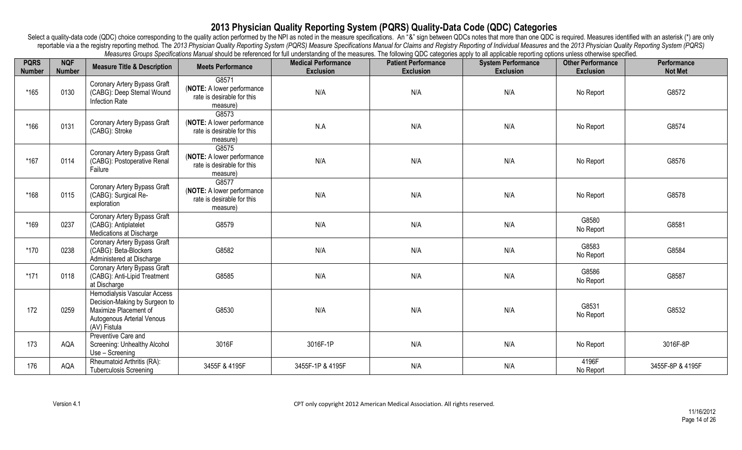| <b>PQRS</b><br><b>Number</b> | <b>NQF</b><br><b>Number</b> | <b>Measure Title &amp; Description</b>                                                                                               | <b>Meets Performance</b>                                                      | mododroo Orodpo Opomodiono mandaronodi o roloriood ior idir dhaorotanamy or tho mododroo. The ionominy &DO odtogonoo apply to all applicable reporting options anioos othermico opomioa.<br><b>Medical Performance</b><br><b>Exclusion</b> | <b>Patient Performance</b><br><b>Exclusion</b> | <b>System Performance</b><br><b>Exclusion</b> | <b>Other Performance</b><br><b>Exclusion</b> | Performance<br><b>Not Met</b> |
|------------------------------|-----------------------------|--------------------------------------------------------------------------------------------------------------------------------------|-------------------------------------------------------------------------------|--------------------------------------------------------------------------------------------------------------------------------------------------------------------------------------------------------------------------------------------|------------------------------------------------|-----------------------------------------------|----------------------------------------------|-------------------------------|
| $*165$                       | 0130                        | Coronary Artery Bypass Graft<br>(CABG): Deep Sternal Wound<br>Infection Rate                                                         | G8571<br>(NOTE: A lower performance<br>rate is desirable for this<br>measure) | N/A                                                                                                                                                                                                                                        | N/A                                            | N/A                                           | No Report                                    | G8572                         |
| $*166$                       | 0131                        | Coronary Artery Bypass Graft<br>(CABG): Stroke                                                                                       | G8573<br>(NOTE: A lower performance<br>rate is desirable for this<br>measure) | N.A                                                                                                                                                                                                                                        | N/A                                            | N/A                                           | No Report                                    | G8574                         |
| $*167$                       | 0114                        | Coronary Artery Bypass Graft<br>(CABG): Postoperative Renal<br>Failure                                                               | G8575<br>(NOTE: A lower performance<br>rate is desirable for this<br>measure) | N/A                                                                                                                                                                                                                                        | N/A                                            | N/A                                           | No Report                                    | G8576                         |
| *168                         | 0115                        | Coronary Artery Bypass Graft<br>(CABG): Surgical Re-<br>exploration                                                                  | G8577<br>(NOTE: A lower performance<br>rate is desirable for this<br>measure) | N/A                                                                                                                                                                                                                                        | N/A                                            | N/A                                           | No Report                                    | G8578                         |
| *169                         | 0237                        | Coronary Artery Bypass Graft<br>(CABG): Antiplatelet<br>Medications at Discharge                                                     | G8579                                                                         | N/A                                                                                                                                                                                                                                        | N/A                                            | N/A                                           | G8580<br>No Report                           | G8581                         |
| *170                         | 0238                        | Coronary Artery Bypass Graft<br>(CABG): Beta-Blockers<br>Administered at Discharge                                                   | G8582                                                                         | N/A                                                                                                                                                                                                                                        | N/A                                            | N/A                                           | G8583<br>No Report                           | G8584                         |
| $*171$                       | 0118                        | Coronary Artery Bypass Graft<br>(CABG): Anti-Lipid Treatment<br>at Discharge                                                         | G8585                                                                         | N/A                                                                                                                                                                                                                                        | N/A                                            | N/A                                           | G8586<br>No Report                           | G8587                         |
| 172                          | 0259                        | Hemodialysis Vascular Access<br>Decision-Making by Surgeon to<br>Maximize Placement of<br>Autogenous Arterial Venous<br>(AV) Fistula | G8530                                                                         | N/A                                                                                                                                                                                                                                        | N/A                                            | N/A                                           | G8531<br>No Report                           | G8532                         |
| 173                          | AQA                         | Preventive Care and<br>Screening: Unhealthy Alcohol<br>Use - Screening                                                               | 3016F                                                                         | 3016F-1P                                                                                                                                                                                                                                   | N/A                                            | N/A                                           | No Report                                    | 3016F-8P                      |
| 176                          | AQA                         | Rheumatoid Arthritis (RA):<br><b>Tuberculosis Screening</b>                                                                          | 3455F & 4195F                                                                 | 3455F-1P & 4195F                                                                                                                                                                                                                           | N/A                                            | N/A                                           | 4196F<br>No Report                           | 3455F-8P & 4195F              |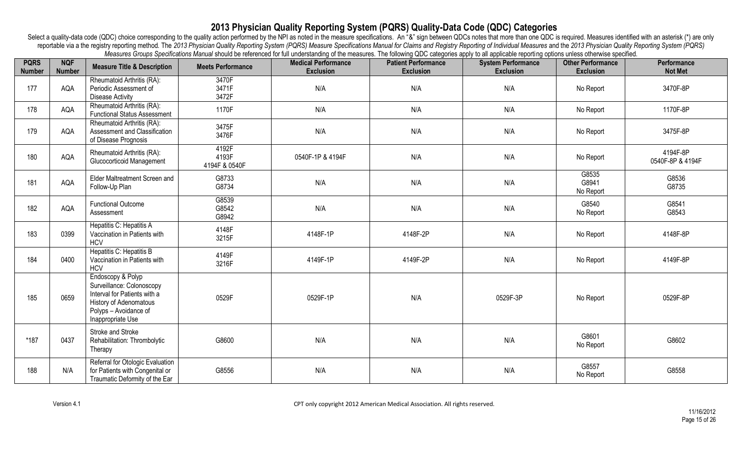| <b>PQRS</b><br><b>Number</b> | <b>NQF</b><br><b>Number</b> | <b>Measure Title &amp; Description</b>                                                                                                                 | <b>Meets Performance</b>        | moderno croppo opomodiono manda criciale do reference for un anderotamany or the moderno. The following &DO daegoned apply to all application reporting options aniece of lor mode opomioa.<br><b>Medical Performance</b><br><b>Exclusion</b> | <b>Patient Performance</b><br><b>Exclusion</b> | <b>System Performance</b><br><b>Exclusion</b> | <b>Other Performance</b><br><b>Exclusion</b> | Performance<br><b>Not Met</b> |
|------------------------------|-----------------------------|--------------------------------------------------------------------------------------------------------------------------------------------------------|---------------------------------|-----------------------------------------------------------------------------------------------------------------------------------------------------------------------------------------------------------------------------------------------|------------------------------------------------|-----------------------------------------------|----------------------------------------------|-------------------------------|
| 177                          | AQA                         | Rheumatoid Arthritis (RA):<br>Periodic Assessment of<br><b>Disease Activity</b>                                                                        | 3470F<br>3471F<br>3472F         | N/A                                                                                                                                                                                                                                           | N/A                                            | N/A                                           | No Report                                    | 3470F-8P                      |
| 178                          | AQA                         | Rheumatoid Arthritis (RA):<br><b>Functional Status Assessment</b>                                                                                      | 1170F                           | N/A                                                                                                                                                                                                                                           | N/A                                            | N/A                                           | No Report                                    | 1170F-8P                      |
| 179                          | AQA                         | Rheumatoid Arthritis (RA):<br>Assessment and Classification<br>of Disease Prognosis                                                                    | 3475F<br>3476F                  | N/A                                                                                                                                                                                                                                           | N/A                                            | N/A                                           | No Report                                    | 3475F-8P                      |
| 180                          | AQA                         | Rheumatoid Arthritis (RA):<br>Glucocorticoid Management                                                                                                | 4192F<br>4193F<br>4194F & 0540F | 0540F-1P & 4194F                                                                                                                                                                                                                              | N/A                                            | N/A                                           | No Report                                    | 4194F-8P<br>0540F-8P & 4194F  |
| 181                          | AQA                         | Elder Maltreatment Screen and<br>Follow-Up Plan                                                                                                        | G8733<br>G8734                  | N/A                                                                                                                                                                                                                                           | N/A                                            | N/A                                           | G8535<br>G8941<br>No Report                  | G8536<br>G8735                |
| 182                          | AQA                         | <b>Functional Outcome</b><br>Assessment                                                                                                                | G8539<br>G8542<br>G8942         | N/A                                                                                                                                                                                                                                           | N/A                                            | N/A                                           | G8540<br>No Report                           | G8541<br>G8543                |
| 183                          | 0399                        | Hepatitis C: Hepatitis A<br>Vaccination in Patients with<br><b>HCV</b>                                                                                 | 4148F<br>3215F                  | 4148F-1P                                                                                                                                                                                                                                      | 4148F-2P                                       | N/A                                           | No Report                                    | 4148F-8P                      |
| 184                          | 0400                        | Hepatitis C: Hepatitis B<br>Vaccination in Patients with<br><b>HCV</b>                                                                                 | 4149F<br>3216F                  | 4149F-1P                                                                                                                                                                                                                                      | 4149F-2P                                       | N/A                                           | No Report                                    | 4149F-8P                      |
| 185                          | 0659                        | Endoscopy & Polyp<br>Surveillance: Colonoscopy<br>Interval for Patients with a<br>History of Adenomatous<br>Polyps - Avoidance of<br>Inappropriate Use | 0529F                           | 0529F-1P                                                                                                                                                                                                                                      | N/A                                            | 0529F-3P                                      | No Report                                    | 0529F-8P                      |
| $*187$                       | 0437                        | Stroke and Stroke<br>Rehabilitation: Thrombolytic<br>Therapy                                                                                           | G8600                           | N/A                                                                                                                                                                                                                                           | N/A                                            | N/A                                           | G8601<br>No Report                           | G8602                         |
| 188                          | N/A                         | Referral for Otologic Evaluation<br>for Patients with Congenital or<br>Traumatic Deformity of the Ear                                                  | G8556                           | N/A                                                                                                                                                                                                                                           | N/A                                            | N/A                                           | G8557<br>No Report                           | G8558                         |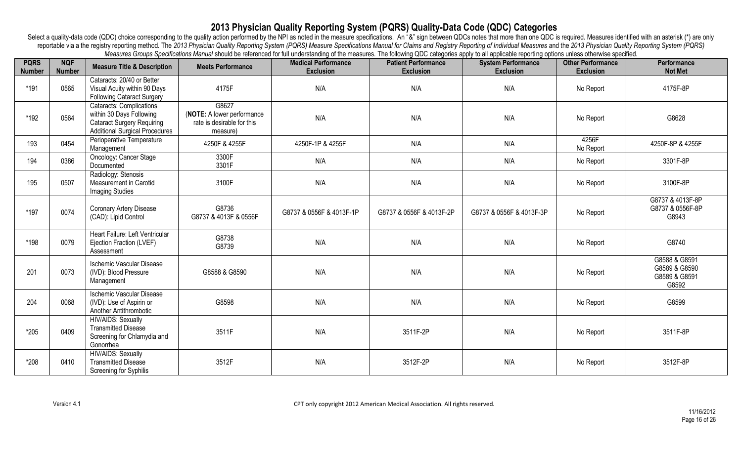| <b>PQRS</b><br><b>Number</b> | <b>NQF</b><br><b>Number</b> | <b>Measure Title &amp; Description</b>                                                                                                    | <b>Meets Performance</b>                                                      | mododros orodpo opomiodions manda snoud bo rolorilood for um andorstanding or the mododros. The ninoming QDO categories apply to all applicable reporting options aniess othermos specifical<br><b>Medical Performance</b><br><b>Exclusion</b> | <b>Patient Performance</b><br><b>Exclusion</b> | <b>System Performance</b><br><b>Exclusion</b> | <b>Other Performance</b><br><b>Exclusion</b> | <b>Performance</b><br><b>Not Met</b>                     |
|------------------------------|-----------------------------|-------------------------------------------------------------------------------------------------------------------------------------------|-------------------------------------------------------------------------------|------------------------------------------------------------------------------------------------------------------------------------------------------------------------------------------------------------------------------------------------|------------------------------------------------|-----------------------------------------------|----------------------------------------------|----------------------------------------------------------|
| *191                         | 0565                        | Cataracts: 20/40 or Better<br>Visual Acuity within 90 Days<br><b>Following Cataract Surgery</b>                                           | 4175F                                                                         | N/A                                                                                                                                                                                                                                            | N/A                                            | N/A                                           | No Report                                    | 4175F-8P                                                 |
| *192                         | 0564                        | <b>Cataracts: Complications</b><br>within 30 Days Following<br><b>Cataract Surgery Requiring</b><br><b>Additional Surgical Procedures</b> | G8627<br>(NOTE: A lower performance<br>rate is desirable for this<br>measure) | N/A                                                                                                                                                                                                                                            | N/A                                            | N/A                                           | No Report                                    | G8628                                                    |
| 193                          | 0454                        | Perioperative Temperature<br>Management                                                                                                   | 4250F & 4255F                                                                 | 4250F-1P & 4255F                                                                                                                                                                                                                               | N/A                                            | N/A                                           | 4256F<br>No Report                           | 4250F-8P & 4255F                                         |
| 194                          | 0386                        | Oncology: Cancer Stage<br>Documented                                                                                                      | 3300F<br>3301F                                                                | N/A                                                                                                                                                                                                                                            | N/A                                            | N/A                                           | No Report                                    | 3301F-8P                                                 |
| 195                          | 0507                        | Radiology: Stenosis<br>Measurement in Carotid<br><b>Imaging Studies</b>                                                                   | 3100F                                                                         | N/A                                                                                                                                                                                                                                            | N/A                                            | N/A                                           | No Report                                    | 3100F-8P                                                 |
| *197                         | 0074                        | Coronary Artery Disease<br>(CAD): Lipid Control                                                                                           | G8736<br>G8737 & 4013F & 0556F                                                | G8737 & 0556F & 4013F-1P                                                                                                                                                                                                                       | G8737 & 0556F & 4013F-2P                       | G8737 & 0556F & 4013F-3P                      | No Report                                    | G8737 & 4013F-8P<br>G8737 & 0556F-8P<br>G8943            |
| *198                         | 0079                        | Heart Failure: Left Ventricular<br>Ejection Fraction (LVEF)<br>Assessment                                                                 | G8738<br>G8739                                                                | N/A                                                                                                                                                                                                                                            | N/A                                            | N/A                                           | No Report                                    | G8740                                                    |
| 201                          | 0073                        | <b>Ischemic Vascular Disease</b><br>(IVD): Blood Pressure<br>Management                                                                   | G8588 & G8590                                                                 | N/A                                                                                                                                                                                                                                            | N/A                                            | N/A                                           | No Report                                    | G8588 & G8591<br>G8589 & G8590<br>G8589 & G8591<br>G8592 |
| 204                          | 0068                        | <b>Ischemic Vascular Disease</b><br>(IVD): Use of Aspirin or<br>Another Antithrombotic                                                    | G8598                                                                         | N/A                                                                                                                                                                                                                                            | N/A                                            | N/A                                           | No Report                                    | G8599                                                    |
| $*205$                       | 0409                        | HIV/AIDS: Sexually<br><b>Transmitted Disease</b><br>Screening for Chlamydia and<br>Gonorrhea                                              | 3511F                                                                         | N/A                                                                                                                                                                                                                                            | 3511F-2P                                       | N/A                                           | No Report                                    | 3511F-8P                                                 |
| *208                         | 0410                        | <b>HIV/AIDS: Sexually</b><br><b>Transmitted Disease</b><br>Screening for Syphilis                                                         | 3512F                                                                         | N/A                                                                                                                                                                                                                                            | 3512F-2P                                       | N/A                                           | No Report                                    | 3512F-8P                                                 |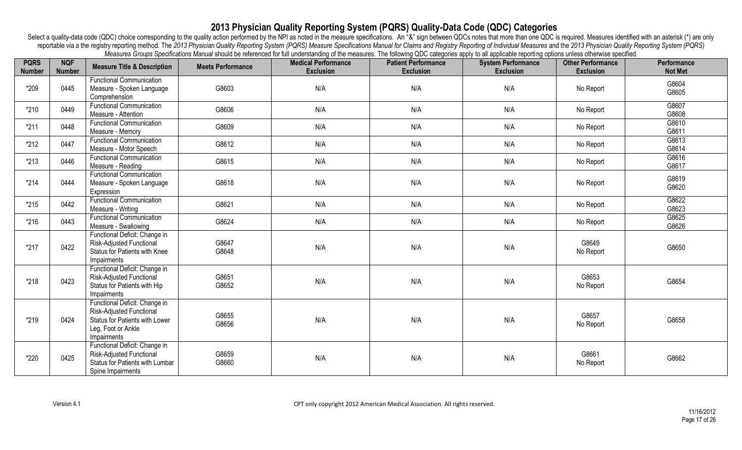| <b>PQRS</b><br><b>Number</b> | <b>NQF</b><br><b>Number</b> | <b>Measure Title &amp; Description</b>                                                                                                         | <b>Meets Performance</b> | measures creaps operations manual should be referenced for iail understanding or the measures. The number categories apply to all applicable reporting operations aniess circumse specified.<br><b>Medical Performance</b><br><b>Exclusion</b> | <b>Patient Performance</b><br><b>Exclusion</b> | <b>System Performance</b><br><b>Exclusion</b> | <b>Other Performance</b><br><b>Exclusion</b> | <b>Performance</b><br><b>Not Met</b> |
|------------------------------|-----------------------------|------------------------------------------------------------------------------------------------------------------------------------------------|--------------------------|------------------------------------------------------------------------------------------------------------------------------------------------------------------------------------------------------------------------------------------------|------------------------------------------------|-----------------------------------------------|----------------------------------------------|--------------------------------------|
| *209                         | 0445                        | <b>Functional Communication</b><br>Measure - Spoken Language<br>Comprehension                                                                  | G8603                    | N/A                                                                                                                                                                                                                                            | N/A                                            | N/A                                           | No Report                                    | G8604<br>G8605                       |
| $*210$                       | 0449                        | <b>Functional Communication</b><br>Measure - Attention                                                                                         | G8606                    | N/A                                                                                                                                                                                                                                            | N/A                                            | N/A                                           | No Report                                    | G8607<br>G8608                       |
| $*211$                       | 0448                        | <b>Functional Communication</b><br>Measure - Memory                                                                                            | G8609                    | N/A                                                                                                                                                                                                                                            | N/A                                            | N/A                                           | No Report                                    | G8610<br>G8611                       |
| $*212$                       | 0447                        | <b>Functional Communication</b><br>Measure - Motor Speech                                                                                      | G8612                    | N/A                                                                                                                                                                                                                                            | N/A                                            | N/A                                           | No Report                                    | G8613<br>G8614                       |
| $*213$                       | 0446                        | <b>Functional Communication</b><br>Measure - Reading                                                                                           | G8615                    | N/A                                                                                                                                                                                                                                            | N/A                                            | N/A                                           | No Report                                    | G8616<br>G8617                       |
| $*214$                       | 0444                        | <b>Functional Communication</b><br>Measure - Spoken Language<br>Expression                                                                     | G8618                    | N/A                                                                                                                                                                                                                                            | N/A                                            | N/A                                           | No Report                                    | G8619<br>G8620                       |
| $*215$                       | 0442                        | <b>Functional Communication</b><br>Measure - Writing                                                                                           | G8621                    | N/A                                                                                                                                                                                                                                            | N/A                                            | N/A                                           | No Report                                    | G8622<br>G8623                       |
| $*216$                       | 0443                        | <b>Functional Communication</b><br>Measure - Swallowing                                                                                        | G8624                    | N/A                                                                                                                                                                                                                                            | N/A                                            | N/A                                           | No Report                                    | G8625<br>G8626                       |
| $*217$                       | 0422                        | Functional Deficit: Change in<br><b>Risk-Adjusted Functional</b><br>Status for Patients with Knee<br>Impairments                               | G8647<br>G8648           | N/A                                                                                                                                                                                                                                            | N/A                                            | N/A                                           | G8649<br>No Report                           | G8650                                |
| $*218$                       | 0423                        | Functional Deficit: Change in<br><b>Risk-Adjusted Functional</b><br>Status for Patients with Hip<br>Impairments                                | G8651<br>G8652           | N/A                                                                                                                                                                                                                                            | N/A                                            | N/A                                           | G8653<br>No Report                           | G8654                                |
| $*219$                       | 0424                        | Functional Deficit: Change in<br><b>Risk-Adjusted Functional</b><br><b>Status for Patients with Lower</b><br>Leg, Foot or Ankle<br>Impairments | G8655<br>G8656           | N/A                                                                                                                                                                                                                                            | N/A                                            | N/A                                           | G8657<br>No Report                           | G8658                                |
| *220                         | 0425                        | Functional Deficit: Change in<br><b>Risk-Adjusted Functional</b><br>Status for Patients with Lumbar<br>Spine Impairments                       | G8659<br>G8660           | N/A                                                                                                                                                                                                                                            | N/A                                            | N/A                                           | G8661<br>No Report                           | G8662                                |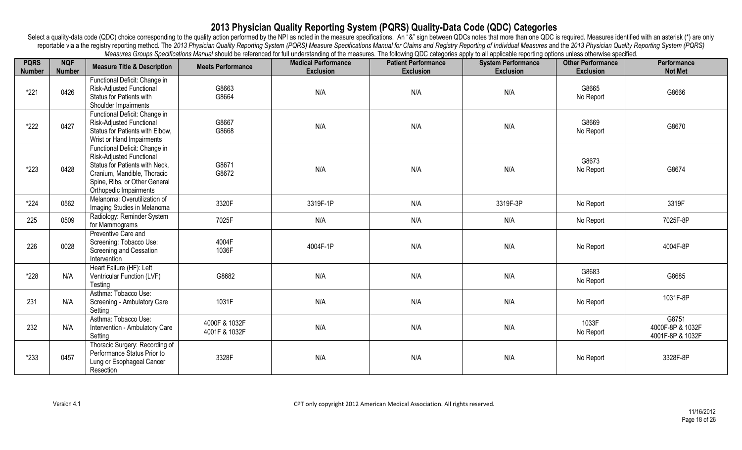| <b>PQRS</b><br><b>Number</b> | <b>NQF</b><br><b>Number</b> | <b>Measure Title &amp; Description</b>                                                                                                                                                       | <b>Meets Performance</b>       | incasares Oroups Openinations marial should be referenced for thir understanding or the micasures. The ionoming QDO categories apply to all applicable reporting opitions unless otherwise specified.<br><b>Medical Performance</b><br><b>Exclusion</b> | <b>Patient Performance</b><br><b>Exclusion</b> | <b>System Performance</b><br><b>Exclusion</b> | <b>Other Performance</b><br><b>Exclusion</b> | Performance<br><b>Not Met</b>                 |
|------------------------------|-----------------------------|----------------------------------------------------------------------------------------------------------------------------------------------------------------------------------------------|--------------------------------|---------------------------------------------------------------------------------------------------------------------------------------------------------------------------------------------------------------------------------------------------------|------------------------------------------------|-----------------------------------------------|----------------------------------------------|-----------------------------------------------|
| $*221$                       | 0426                        | Functional Deficit: Change in<br>Risk-Adjusted Functional<br><b>Status for Patients with</b><br>Shoulder Impairments                                                                         | G8663<br>G8664                 | N/A                                                                                                                                                                                                                                                     | N/A                                            | N/A                                           | G8665<br>No Report                           | G8666                                         |
| *222                         | 0427                        | Functional Deficit: Change in<br>Risk-Adjusted Functional<br>Status for Patients with Elbow,<br>Wrist or Hand Impairments                                                                    | G8667<br>G8668                 | N/A                                                                                                                                                                                                                                                     | N/A                                            | N/A                                           | G8669<br>No Report                           | G8670                                         |
| *223                         | 0428                        | Functional Deficit: Change in<br><b>Risk-Adjusted Functional</b><br>Status for Patients with Neck,<br>Cranium, Mandible, Thoracic<br>Spine, Ribs, or Other General<br>Orthopedic Impairments | G8671<br>G8672                 | N/A                                                                                                                                                                                                                                                     | N/A                                            | N/A                                           | G8673<br>No Report                           | G8674                                         |
| $*224$                       | 0562                        | Melanoma: Overutilization of<br>Imaging Studies in Melanoma                                                                                                                                  | 3320F                          | 3319F-1P                                                                                                                                                                                                                                                | N/A                                            | 3319F-3P                                      | No Report                                    | 3319F                                         |
| 225                          | 0509                        | Radiology: Reminder System<br>for Mammograms                                                                                                                                                 | 7025F                          | N/A                                                                                                                                                                                                                                                     | N/A                                            | N/A                                           | No Report                                    | 7025F-8P                                      |
| 226                          | 0028                        | Preventive Care and<br>Screening: Tobacco Use:<br>Screening and Cessation<br>Intervention                                                                                                    | 4004F<br>1036F                 | 4004F-1P                                                                                                                                                                                                                                                | N/A                                            | N/A                                           | No Report                                    | 4004F-8P                                      |
| *228                         | N/A                         | Heart Failure (HF): Left<br>Ventricular Function (LVF)<br>Testing                                                                                                                            | G8682                          | N/A                                                                                                                                                                                                                                                     | N/A                                            | N/A                                           | G8683<br>No Report                           | G8685                                         |
| 231                          | N/A                         | Asthma: Tobacco Use:<br>Screening - Ambulatory Care<br>Setting                                                                                                                               | 1031F                          | N/A                                                                                                                                                                                                                                                     | N/A                                            | N/A                                           | No Report                                    | 1031F-8P                                      |
| 232                          | N/A                         | Asthma: Tobacco Use:<br>Intervention - Ambulatory Care<br>Setting                                                                                                                            | 4000F & 1032F<br>4001F & 1032F | N/A                                                                                                                                                                                                                                                     | N/A                                            | N/A                                           | 1033F<br>No Report                           | G8751<br>4000F-8P & 1032F<br>4001F-8P & 1032F |
| $*233$                       | 0457                        | Thoracic Surgery: Recording of<br>Performance Status Prior to<br>Lung or Esophageal Cancer<br>Resection                                                                                      | 3328F                          | N/A                                                                                                                                                                                                                                                     | N/A                                            | N/A                                           | No Report                                    | 3328F-8P                                      |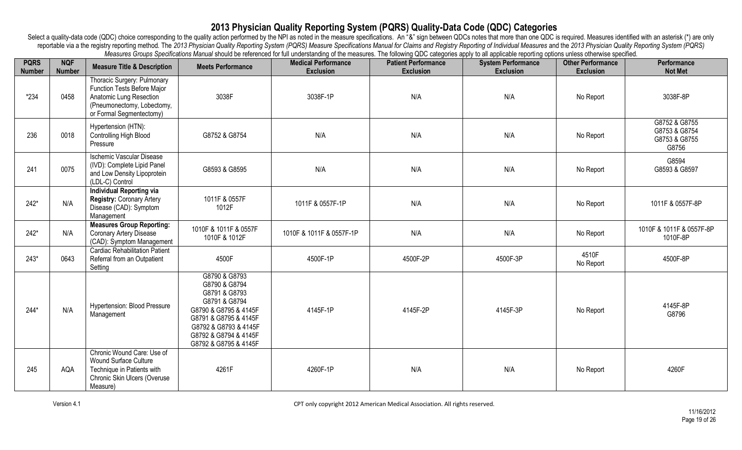| <b>PQRS</b><br><b>Number</b> | <b>NQF</b><br><b>Number</b> | <b>Measure Title &amp; Description</b>                                                                                                                 | <b>Meets Performance</b>                                                                                                                                                                      | incastries Oroups operintations manual should be relefented for ith understanding or the measures. The ionoming QDO tategories apply to all applicable reporting opitions unless otherwise specified.<br><b>Medical Performance</b><br><b>Exclusion</b> | <b>Patient Performance</b><br><b>Exclusion</b> | <b>System Performance</b><br><b>Exclusion</b> | <b>Other Performance</b><br><b>Exclusion</b> | Performance<br><b>Not Met</b>                            |
|------------------------------|-----------------------------|--------------------------------------------------------------------------------------------------------------------------------------------------------|-----------------------------------------------------------------------------------------------------------------------------------------------------------------------------------------------|---------------------------------------------------------------------------------------------------------------------------------------------------------------------------------------------------------------------------------------------------------|------------------------------------------------|-----------------------------------------------|----------------------------------------------|----------------------------------------------------------|
| $*234$                       | 0458                        | Thoracic Surgery: Pulmonary<br><b>Function Tests Before Major</b><br>Anatomic Lung Resection<br>(Pneumonectomy, Lobectomy,<br>or Formal Segmentectomy) | 3038F                                                                                                                                                                                         | 3038F-1P                                                                                                                                                                                                                                                | N/A                                            | N/A                                           | No Report                                    | 3038F-8P                                                 |
| 236                          | 0018                        | Hypertension (HTN):<br>Controlling High Blood<br>Pressure                                                                                              | G8752 & G8754                                                                                                                                                                                 | N/A                                                                                                                                                                                                                                                     | N/A                                            | N/A                                           | No Report                                    | G8752 & G8755<br>G8753 & G8754<br>G8753 & G8755<br>G8756 |
| 241                          | 0075                        | <b>Ischemic Vascular Disease</b><br>(IVD): Complete Lipid Panel<br>and Low Density Lipoprotein<br>(LDL-C) Control                                      | G8593 & G8595                                                                                                                                                                                 | N/A                                                                                                                                                                                                                                                     | N/A                                            | N/A                                           | No Report                                    | G8594<br>G8593 & G8597                                   |
| $242*$                       | N/A                         | <b>Individual Reporting via</b><br>Registry: Coronary Artery<br>Disease (CAD): Symptom<br>Management                                                   | 1011F & 0557F<br>1012F                                                                                                                                                                        | 1011F & 0557F-1P                                                                                                                                                                                                                                        | N/A                                            | N/A                                           | No Report                                    | 1011F & 0557F-8P                                         |
| $242*$                       | N/A                         | <b>Measures Group Reporting:</b><br>Coronary Artery Disease<br>(CAD): Symptom Management                                                               | 1010F & 1011F & 0557F<br>1010F & 1012F                                                                                                                                                        | 1010F & 1011F & 0557F-1P                                                                                                                                                                                                                                | N/A                                            | N/A                                           | No Report                                    | 1010F & 1011F & 0557F-8P<br>1010F-8P                     |
| $243*$                       | 0643                        | <b>Cardiac Rehabilitation Patient</b><br>Referral from an Outpatient<br>Setting                                                                        | 4500F                                                                                                                                                                                         | 4500F-1P                                                                                                                                                                                                                                                | 4500F-2P                                       | 4500F-3P                                      | 4510F<br>No Report                           | 4500F-8P                                                 |
| $244*$                       | N/A                         | <b>Hypertension: Blood Pressure</b><br>Management                                                                                                      | G8790 & G8793<br>G8790 & G8794<br>G8791 & G8793<br>G8791 & G8794<br>G8790 & G8795 & 4145F<br>G8791 & G8795 & 4145F<br>G8792 & G8793 & 4145F<br>G8792 & G8794 & 4145F<br>G8792 & G8795 & 4145F | 4145F-1P                                                                                                                                                                                                                                                | 4145F-2P                                       | 4145F-3P                                      | No Report                                    | 4145F-8P<br>G8796                                        |
| 245                          | AQA                         | Chronic Wound Care: Use of<br><b>Wound Surface Culture</b><br>Technique in Patients with<br>Chronic Skin Ulcers (Overuse<br>Measure)                   | 4261F                                                                                                                                                                                         | 4260F-1P                                                                                                                                                                                                                                                | N/A                                            | N/A                                           | No Report                                    | 4260F                                                    |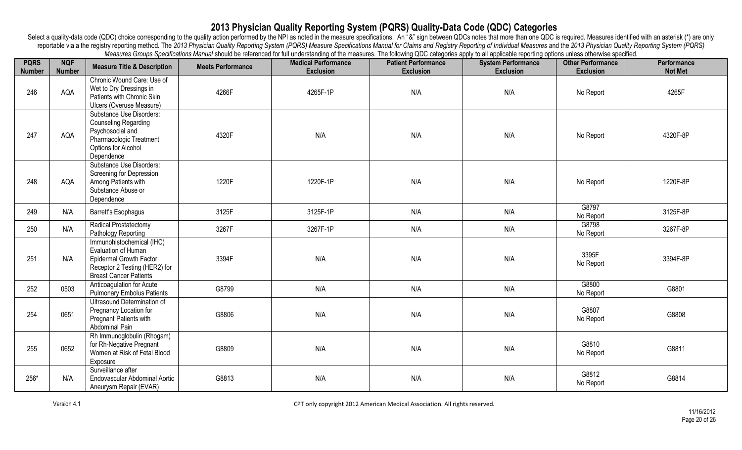| <b>PQRS</b><br><b>Number</b> | <b>NQF</b><br><b>Number</b> | <b>Measure Title &amp; Description</b>                                                                                                               | <b>Meets Performance</b> | mcasarco Oroapo Openneanono manda onodi be relefence ion anicologiranig or the measures. The ionoming QDO eategories apply to an applicable reporting options anicos othermise specifical<br><b>Medical Performance</b><br><b>Exclusion</b> | <b>Patient Performance</b><br><b>Exclusion</b> | <b>System Performance</b><br><b>Exclusion</b> | <b>Other Performance</b><br><b>Exclusion</b> | Performance<br><b>Not Met</b> |
|------------------------------|-----------------------------|------------------------------------------------------------------------------------------------------------------------------------------------------|--------------------------|---------------------------------------------------------------------------------------------------------------------------------------------------------------------------------------------------------------------------------------------|------------------------------------------------|-----------------------------------------------|----------------------------------------------|-------------------------------|
| 246                          | AQA                         | Chronic Wound Care: Use of<br>Wet to Dry Dressings in<br>Patients with Chronic Skin<br>Ulcers (Overuse Measure)                                      | 4266F                    | 4265F-1P                                                                                                                                                                                                                                    | N/A                                            | N/A                                           | No Report                                    | 4265F                         |
| 247                          | AQA                         | Substance Use Disorders:<br><b>Counseling Regarding</b><br>Psychosocial and<br>Pharmacologic Treatment<br>Options for Alcohol<br>Dependence          | 4320F                    | N/A                                                                                                                                                                                                                                         | N/A                                            | N/A                                           | No Report                                    | 4320F-8P                      |
| 248                          | AQA                         | Substance Use Disorders:<br>Screening for Depression<br>Among Patients with<br>Substance Abuse or<br>Dependence                                      | 1220F                    | 1220F-1P                                                                                                                                                                                                                                    | N/A                                            | N/A                                           | No Report                                    | 1220F-8P                      |
| 249                          | N/A                         | <b>Barrett's Esophagus</b>                                                                                                                           | 3125F                    | 3125F-1P                                                                                                                                                                                                                                    | N/A                                            | N/A                                           | G8797<br>No Report                           | 3125F-8P                      |
| 250                          | N/A                         | Radical Prostatectomy<br>Pathology Reporting                                                                                                         | 3267F                    | 3267F-1P                                                                                                                                                                                                                                    | N/A                                            | N/A                                           | G8798<br>No Report                           | 3267F-8P                      |
| 251                          | N/A                         | Immunohistochemical (IHC)<br>Evaluation of Human<br><b>Epidermal Growth Factor</b><br>Receptor 2 Testing (HER2) for<br><b>Breast Cancer Patients</b> | 3394F                    | N/A                                                                                                                                                                                                                                         | N/A                                            | N/A                                           | 3395F<br>No Report                           | 3394F-8P                      |
| 252                          | 0503                        | Anticoagulation for Acute<br><b>Pulmonary Embolus Patients</b>                                                                                       | G8799                    | N/A                                                                                                                                                                                                                                         | N/A                                            | N/A                                           | G8800<br>No Report                           | G8801                         |
| 254                          | 0651                        | Ultrasound Determination of<br>Pregnancy Location for<br><b>Pregnant Patients with</b><br>Abdominal Pain                                             | G8806                    | N/A                                                                                                                                                                                                                                         | N/A                                            | N/A                                           | G8807<br>No Report                           | G8808                         |
| 255                          | 0652                        | Rh Immunoglobulin (Rhogam)<br>for Rh-Negative Pregnant<br>Women at Risk of Fetal Blood<br>Exposure                                                   | G8809                    | N/A                                                                                                                                                                                                                                         | N/A                                            | N/A                                           | G8810<br>No Report                           | G8811                         |
| 256*                         | N/A                         | Surveillance after<br>Endovascular Abdominal Aortic<br>Aneurysm Repair (EVAR)                                                                        | G8813                    | N/A                                                                                                                                                                                                                                         | N/A                                            | N/A                                           | G8812<br>No Report                           | G8814                         |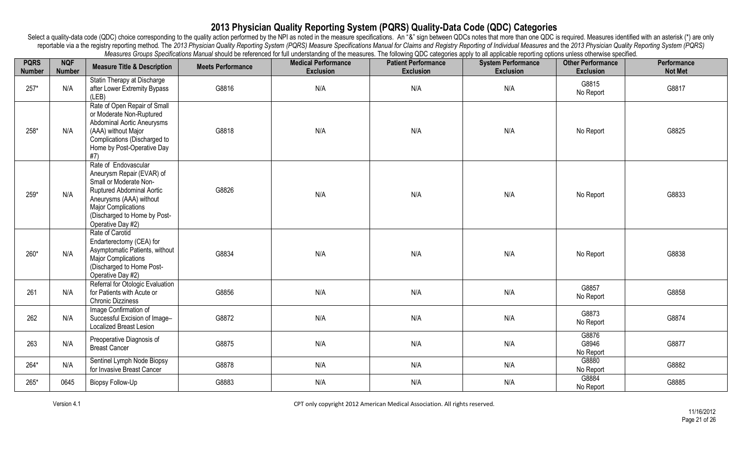| <b>PQRS</b><br><b>Number</b> | <b>NQF</b><br><b>Number</b> | <b>Measure Title &amp; Description</b>                                                                                                                                                                                 | <b>Meets Performance</b> | Measures Oroups opermeanons manual should be referenced for thir understanding or the measures. The ionoming QDO categories apply to all applicable reporting options unless othermise specified.<br><b>Medical Performance</b><br><b>Exclusion</b> | <b>Patient Performance</b><br><b>Exclusion</b> | <b>System Performance</b><br><b>Exclusion</b> | <b>Other Performance</b><br><b>Exclusion</b> | Performance<br><b>Not Met</b> |
|------------------------------|-----------------------------|------------------------------------------------------------------------------------------------------------------------------------------------------------------------------------------------------------------------|--------------------------|-----------------------------------------------------------------------------------------------------------------------------------------------------------------------------------------------------------------------------------------------------|------------------------------------------------|-----------------------------------------------|----------------------------------------------|-------------------------------|
| $257*$                       | N/A                         | Statin Therapy at Discharge<br>after Lower Extremity Bypass<br>(LEB)                                                                                                                                                   | G8816                    | N/A                                                                                                                                                                                                                                                 | N/A                                            | N/A                                           | G8815<br>No Report                           | G8817                         |
| 258*                         | N/A                         | Rate of Open Repair of Small<br>or Moderate Non-Ruptured<br>Abdominal Aortic Aneurysms<br>(AAA) without Major<br>Complications (Discharged to<br>Home by Post-Operative Day<br>#7)                                     | G8818                    | N/A                                                                                                                                                                                                                                                 | N/A                                            | N/A                                           | No Report                                    | G8825                         |
| 259*                         | N/A                         | Rate of Endovascular<br>Aneurysm Repair (EVAR) of<br>Small or Moderate Non-<br>Ruptured Abdominal Aortic<br>Aneurysms (AAA) without<br><b>Major Complications</b><br>(Discharged to Home by Post-<br>Operative Day #2) | G8826                    | N/A                                                                                                                                                                                                                                                 | N/A                                            | N/A                                           | No Report                                    | G8833                         |
| 260*                         | N/A                         | Rate of Carotid<br>Endarterectomy (CEA) for<br>Asymptomatic Patients, without<br><b>Major Complications</b><br>(Discharged to Home Post-<br>Operative Day #2)                                                          | G8834                    | N/A                                                                                                                                                                                                                                                 | N/A                                            | N/A                                           | No Report                                    | G8838                         |
| 261                          | N/A                         | Referral for Otologic Evaluation<br>for Patients with Acute or<br><b>Chronic Dizziness</b>                                                                                                                             | G8856                    | N/A                                                                                                                                                                                                                                                 | N/A                                            | N/A                                           | G8857<br>No Report                           | G8858                         |
| 262                          | N/A                         | Image Confirmation of<br>Successful Excision of Image-<br><b>Localized Breast Lesion</b>                                                                                                                               | G8872                    | N/A                                                                                                                                                                                                                                                 | N/A                                            | N/A                                           | G8873<br>No Report                           | G8874                         |
| 263                          | N/A                         | Preoperative Diagnosis of<br><b>Breast Cancer</b>                                                                                                                                                                      | G8875                    | N/A                                                                                                                                                                                                                                                 | N/A                                            | N/A                                           | G8876<br>G8946<br>No Report                  | G8877                         |
| 264*                         | N/A                         | Sentinel Lymph Node Biopsy<br>for Invasive Breast Cancer                                                                                                                                                               | G8878                    | N/A                                                                                                                                                                                                                                                 | N/A                                            | N/A                                           | G8880<br>No Report                           | G8882                         |
| 265*                         | 0645                        | <b>Biopsy Follow-Up</b>                                                                                                                                                                                                | G8883                    | N/A                                                                                                                                                                                                                                                 | N/A                                            | N/A                                           | G8884<br>No Report                           | G8885                         |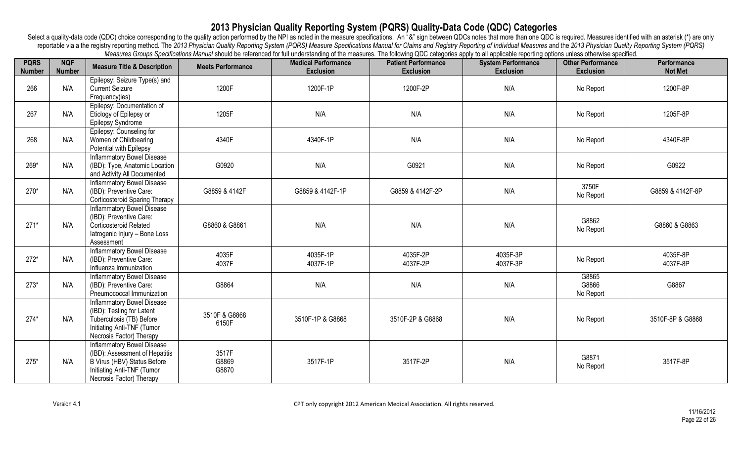| <b>PQRS</b><br><b>Number</b> | <b>NQF</b><br><b>Number</b> | <b>Measure Title &amp; Description</b>                                                                                                                       | <b>Meets Performance</b> | mcasares oroups openheatons manual should be referenced for iair anderstanding or the measures. The ninoming QDO categories apply to an applicable reporting options aniess otherwise specified.<br><b>Medical Performance</b><br><b>Exclusion</b> | <b>Patient Performance</b><br><b>Exclusion</b> | <b>System Performance</b><br><b>Exclusion</b> | <b>Other Performance</b><br><b>Exclusion</b> | Performance<br><b>Not Met</b> |
|------------------------------|-----------------------------|--------------------------------------------------------------------------------------------------------------------------------------------------------------|--------------------------|----------------------------------------------------------------------------------------------------------------------------------------------------------------------------------------------------------------------------------------------------|------------------------------------------------|-----------------------------------------------|----------------------------------------------|-------------------------------|
| 266                          | N/A                         | Epilepsy: Seizure Type(s) and<br><b>Current Seizure</b><br>Frequency(ies)                                                                                    | 1200F                    | 1200F-1P                                                                                                                                                                                                                                           | 1200F-2P                                       | N/A                                           | No Report                                    | 1200F-8P                      |
| 267                          | N/A                         | Epilepsy: Documentation of<br>Etiology of Epilepsy or<br>Epilepsy Syndrome                                                                                   | 1205F                    | N/A                                                                                                                                                                                                                                                | N/A                                            | N/A                                           | No Report                                    | 1205F-8P                      |
| 268                          | N/A                         | Epilepsy: Counseling for<br>Women of Childbearing<br>Potential with Epilepsy                                                                                 | 4340F                    | 4340F-1P                                                                                                                                                                                                                                           | N/A                                            | N/A                                           | No Report                                    | 4340F-8P                      |
| 269*                         | N/A                         | <b>Inflammatory Bowel Disease</b><br>(IBD): Type, Anatomic Location<br>and Activity All Documented                                                           | G0920                    | N/A                                                                                                                                                                                                                                                | G0921                                          | N/A                                           | No Report                                    | G0922                         |
| 270*                         | N/A                         | <b>Inflammatory Bowel Disease</b><br>(IBD): Preventive Care:<br><b>Corticosteroid Sparing Therapy</b>                                                        | G8859 & 4142F            | G8859 & 4142F-1P                                                                                                                                                                                                                                   | G8859 & 4142F-2P                               | N/A                                           | 3750F<br>No Report                           | G8859 & 4142F-8P              |
| $271*$                       | N/A                         | <b>Inflammatory Bowel Disease</b><br>(IBD): Preventive Care:<br>Corticosteroid Related<br>latrogenic Injury - Bone Loss<br>Assessment                        | G8860 & G8861            | N/A                                                                                                                                                                                                                                                | N/A                                            | N/A                                           | G8862<br>No Report                           | G8860 & G8863                 |
| $272*$                       | N/A                         | <b>Inflammatory Bowel Disease</b><br>(IBD): Preventive Care:<br>Influenza Immunization                                                                       | 4035F<br>4037F           | 4035F-1P<br>4037F-1P                                                                                                                                                                                                                               | 4035F-2P<br>4037F-2P                           | 4035F-3P<br>4037F-3P                          | No Report                                    | 4035F-8P<br>4037F-8P          |
| $273*$                       | N/A                         | <b>Inflammatory Bowel Disease</b><br>(IBD): Preventive Care:<br>Pneumococcal Immunization                                                                    | G8864                    | N/A                                                                                                                                                                                                                                                | N/A                                            | N/A                                           | G8865<br>G8866<br>No Report                  | G8867                         |
| $274*$                       | N/A                         | <b>Inflammatory Bowel Disease</b><br>(IBD): Testing for Latent<br>Tuberculosis (TB) Before<br>Initiating Anti-TNF (Tumor<br>Necrosis Factor) Therapy         | 3510F & G8868<br>6150F   | 3510F-1P & G8868                                                                                                                                                                                                                                   | 3510F-2P & G8868                               | N/A                                           | No Report                                    | 3510F-8P & G8868              |
| $275*$                       | N/A                         | <b>Inflammatory Bowel Disease</b><br>(IBD): Assessment of Hepatitis<br>B Virus (HBV) Status Before<br>Initiating Anti-TNF (Tumor<br>Necrosis Factor) Therapy | 3517F<br>G8869<br>G8870  | 3517F-1P                                                                                                                                                                                                                                           | 3517F-2P                                       | N/A                                           | G8871<br>No Report                           | 3517F-8P                      |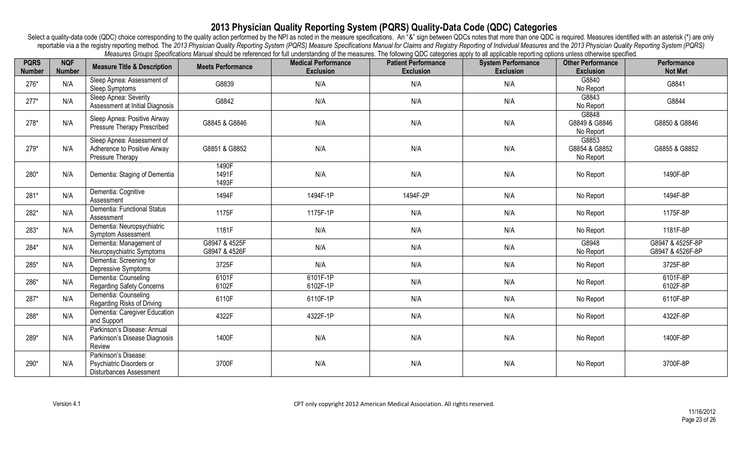| <b>PQRS</b><br><b>Number</b> | <b>NQF</b><br><b>Number</b> | <b>Measure Title &amp; Description</b>                                             | <b>Meets Performance</b>       | incasares Oroups Openinations marial should be referenced for thir understanding or the micasures. The ionoming QDO categories apply to all applicable reporting opitions unless otherwise specified.<br><b>Medical Performance</b><br><b>Exclusion</b> | <b>Patient Performance</b><br><b>Exclusion</b> | <b>System Performance</b><br><b>Exclusion</b> | <b>Other Performance</b><br><b>Exclusion</b> | Performance<br><b>Not Met</b>        |
|------------------------------|-----------------------------|------------------------------------------------------------------------------------|--------------------------------|---------------------------------------------------------------------------------------------------------------------------------------------------------------------------------------------------------------------------------------------------------|------------------------------------------------|-----------------------------------------------|----------------------------------------------|--------------------------------------|
| 276*                         | N/A                         | Sleep Apnea: Assessment of<br>Sleep Symptoms                                       | G8839                          | N/A                                                                                                                                                                                                                                                     | N/A                                            | N/A                                           | G8840<br>No Report                           | G8841                                |
| $277*$                       | N/A                         | Sleep Apnea: Severity<br>Assessment at Initial Diagnosis                           | G8842                          | N/A                                                                                                                                                                                                                                                     | N/A                                            | N/A                                           | G8843<br>No Report                           | G8844                                |
| $278*$                       | N/A                         | Sleep Apnea: Positive Airway<br>Pressure Therapy Prescribed                        | G8845 & G8846                  | N/A                                                                                                                                                                                                                                                     | N/A                                            | N/A                                           | G8848<br>G8849 & G8846<br>No Report          | G8850 & G8846                        |
| 279*                         | N/A                         | Sleep Apnea: Assessment of<br>Adherence to Positive Airway<br>Pressure Therapy     | G8851 & G8852                  | N/A                                                                                                                                                                                                                                                     | N/A                                            | N/A                                           | G8853<br>G8854 & G8852<br>No Report          | G8855 & G8852                        |
| 280*                         | N/A                         | Dementia: Staging of Dementia                                                      | 1490F<br>1491F<br>1493F        | N/A                                                                                                                                                                                                                                                     | N/A                                            | N/A                                           | No Report                                    | 1490F-8P                             |
| 281*                         | N/A                         | Dementia: Cognitive<br>Assessment                                                  | 1494F                          | 1494F-1P                                                                                                                                                                                                                                                | 1494F-2P                                       | N/A                                           | No Report                                    | 1494F-8P                             |
| 282*                         | N/A                         | Dementia: Functional Status<br>Assessment                                          | 1175F                          | 1175F-1P                                                                                                                                                                                                                                                | N/A                                            | N/A                                           | No Report                                    | 1175F-8P                             |
| 283*                         | N/A                         | Dementia: Neuropsychiatric<br><b>Symptom Assessment</b>                            | 1181F                          | N/A                                                                                                                                                                                                                                                     | N/A                                            | N/A                                           | No Report                                    | 1181F-8P                             |
| 284*                         | N/A                         | Dementia: Management of<br>Neuropsychiatric Symptoms                               | G8947 & 4525F<br>G8947 & 4526F | N/A                                                                                                                                                                                                                                                     | N/A                                            | N/A                                           | G8948<br>No Report                           | G8947 & 4525F-8P<br>G8947 & 4526F-8P |
| 285*                         | N/A                         | Dementia: Screening for<br>Depressive Symptoms                                     | 3725F                          | N/A                                                                                                                                                                                                                                                     | N/A                                            | N/A                                           | No Report                                    | 3725F-8P                             |
| 286*                         | N/A                         | Dementia: Counseling<br>Regarding Safety Concerns                                  | 6101F<br>6102F                 | 6101F-1P<br>6102F-1P                                                                                                                                                                                                                                    | N/A                                            | N/A                                           | No Report                                    | 6101F-8P<br>6102F-8P                 |
| 287*                         | N/A                         | Dementia: Counseling<br>Regarding Risks of Driving                                 | 6110F                          | 6110F-1P                                                                                                                                                                                                                                                | N/A                                            | N/A                                           | No Report                                    | 6110F-8P                             |
| 288*                         | N/A                         | Dementia: Caregiver Education<br>and Support                                       | 4322F                          | 4322F-1P                                                                                                                                                                                                                                                | N/A                                            | N/A                                           | No Report                                    | 4322F-8P                             |
| 289*                         | N/A                         | Parkinson's Disease: Annual<br>Parkinson's Disease Diagnosis<br>Review             | 1400F                          | N/A                                                                                                                                                                                                                                                     | N/A                                            | N/A                                           | No Report                                    | 1400F-8P                             |
| 290*                         | N/A                         | Parkinson's Disease:<br>Psychiatric Disorders or<br><b>Disturbances Assessment</b> | 3700F                          | N/A                                                                                                                                                                                                                                                     | N/A                                            | N/A                                           | No Report                                    | 3700F-8P                             |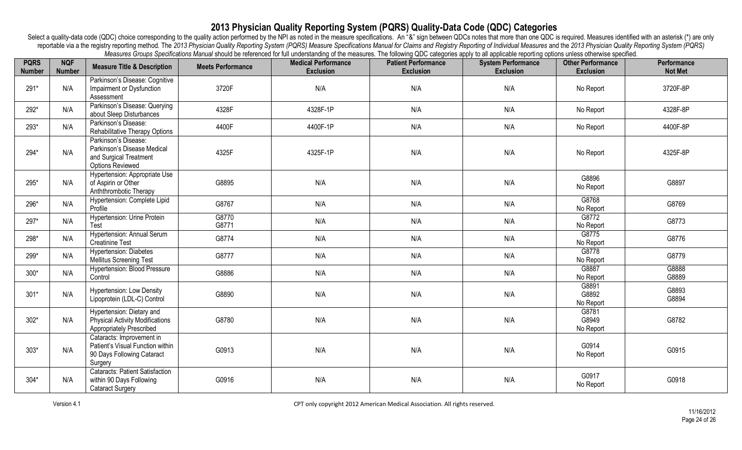| <b>PQRS</b>   | <b>NQF</b><br><b>Number</b> | <b>Measure Title &amp; Description</b>                             | <b>Meets Performance</b> | measures creaps operations manual should be referenced for iail understanding or the measures. The rulewing QDO categories apply to all applicable reporting options aniess strict wise specified.<br><b>Medical Performance</b> | <b>Patient Performance</b> | <b>System Performance</b><br><b>Exclusion</b> | <b>Other Performance</b> | Performance    |
|---------------|-----------------------------|--------------------------------------------------------------------|--------------------------|----------------------------------------------------------------------------------------------------------------------------------------------------------------------------------------------------------------------------------|----------------------------|-----------------------------------------------|--------------------------|----------------|
| <b>Number</b> |                             | Parkinson's Disease: Cognitive                                     |                          | <b>Exclusion</b>                                                                                                                                                                                                                 | <b>Exclusion</b>           |                                               | <b>Exclusion</b>         | <b>Not Met</b> |
| 291*          | N/A                         | Impairment or Dysfunction                                          | 3720F                    | N/A                                                                                                                                                                                                                              | N/A                        | N/A                                           | No Report                | 3720F-8P       |
|               |                             | Assessment                                                         |                          |                                                                                                                                                                                                                                  |                            |                                               |                          |                |
|               |                             | Parkinson's Disease: Querying                                      |                          |                                                                                                                                                                                                                                  |                            |                                               |                          |                |
| 292*          | N/A                         | about Sleep Disturbances                                           | 4328F                    | 4328F-1P                                                                                                                                                                                                                         | N/A                        | N/A                                           | No Report                | 4328F-8P       |
| 293*          | N/A                         | Parkinson's Disease:                                               | 4400F                    | 4400F-1P                                                                                                                                                                                                                         | N/A                        | N/A                                           | No Report                | 4400F-8P       |
|               |                             | Rehabilitative Therapy Options                                     |                          |                                                                                                                                                                                                                                  |                            |                                               |                          |                |
|               |                             | Parkinson's Disease:                                               |                          |                                                                                                                                                                                                                                  |                            |                                               |                          |                |
| 294*          | N/A                         | Parkinson's Disease Medical<br>and Surgical Treatment              | 4325F                    | 4325F-1P                                                                                                                                                                                                                         | N/A                        | N/A                                           | No Report                | 4325F-8P       |
|               |                             | <b>Options Reviewed</b>                                            |                          |                                                                                                                                                                                                                                  |                            |                                               |                          |                |
|               |                             | Hypertension: Appropriate Use                                      |                          |                                                                                                                                                                                                                                  |                            |                                               |                          |                |
| 295*          | N/A                         | of Aspirin or Other                                                | G8895                    | N/A                                                                                                                                                                                                                              | N/A                        | N/A                                           | G8896                    | G8897          |
|               |                             | Anththrombotic Therapy                                             |                          |                                                                                                                                                                                                                                  |                            |                                               | No Report                |                |
| 296*          | N/A                         | Hypertension: Complete Lipid                                       | G8767                    | N/A                                                                                                                                                                                                                              | N/A                        | N/A                                           | G8768                    | G8769          |
|               |                             | Profile                                                            |                          |                                                                                                                                                                                                                                  |                            |                                               | No Report                |                |
| 297*          | N/A                         | Hypertension: Urine Protein                                        | G8770                    | N/A                                                                                                                                                                                                                              | N/A                        | N/A                                           | G8772                    | G8773          |
|               |                             | Test                                                               | G8771                    |                                                                                                                                                                                                                                  |                            |                                               | No Report                |                |
| 298*          | N/A                         | <b>Hypertension: Annual Serum</b><br><b>Creatinine Test</b>        | G8774                    | N/A                                                                                                                                                                                                                              | N/A                        | N/A                                           | G8775<br>No Report       | G8776          |
|               |                             | <b>Hypertension: Diabetes</b>                                      |                          |                                                                                                                                                                                                                                  |                            |                                               | G8778                    |                |
| 299*          | N/A                         | <b>Mellitus Screening Test</b>                                     | G8777                    | N/A                                                                                                                                                                                                                              | N/A                        | N/A                                           | No Report                | G8779          |
|               |                             | Hypertension: Blood Pressure                                       |                          |                                                                                                                                                                                                                                  |                            |                                               | G8887                    | G8888          |
| $300*$        | N/A                         | Control                                                            | G8886                    | N/A                                                                                                                                                                                                                              | N/A                        | N/A                                           | No Report                | G8889          |
|               |                             | <b>Hypertension: Low Density</b>                                   |                          |                                                                                                                                                                                                                                  |                            |                                               | G8891                    | G8893          |
| $301*$        | N/A                         | Lipoprotein (LDL-C) Control                                        | G8890                    | N/A                                                                                                                                                                                                                              | N/A                        | N/A                                           | G8892                    | G8894          |
|               |                             |                                                                    |                          |                                                                                                                                                                                                                                  |                            |                                               | No Report                |                |
|               | N/A                         | Hypertension: Dietary and                                          |                          |                                                                                                                                                                                                                                  |                            |                                               | G8781<br>G8949           |                |
| $302*$        |                             | <b>Physical Activity Modifications</b><br>Appropriately Prescribed | G8780                    | N/A                                                                                                                                                                                                                              | N/A                        | N/A                                           | No Report                | G8782          |
|               |                             | Cataracts: Improvement in                                          |                          |                                                                                                                                                                                                                                  |                            |                                               |                          |                |
|               |                             | Patient's Visual Function within                                   |                          |                                                                                                                                                                                                                                  |                            |                                               | G0914                    |                |
| $303*$        | N/A                         | 90 Days Following Cataract                                         | G0913                    | N/A                                                                                                                                                                                                                              | N/A                        | N/A                                           | No Report                | G0915          |
|               |                             | Surgery                                                            |                          |                                                                                                                                                                                                                                  |                            |                                               |                          |                |
|               |                             | Cataracts: Patient Satisfaction                                    |                          |                                                                                                                                                                                                                                  |                            |                                               | G0917                    |                |
| $304*$        | N/A                         | within 90 Days Following                                           | G0916                    | N/A                                                                                                                                                                                                                              | N/A                        | N/A                                           | No Report                | G0918          |
|               |                             | <b>Cataract Surgery</b>                                            |                          |                                                                                                                                                                                                                                  |                            |                                               |                          |                |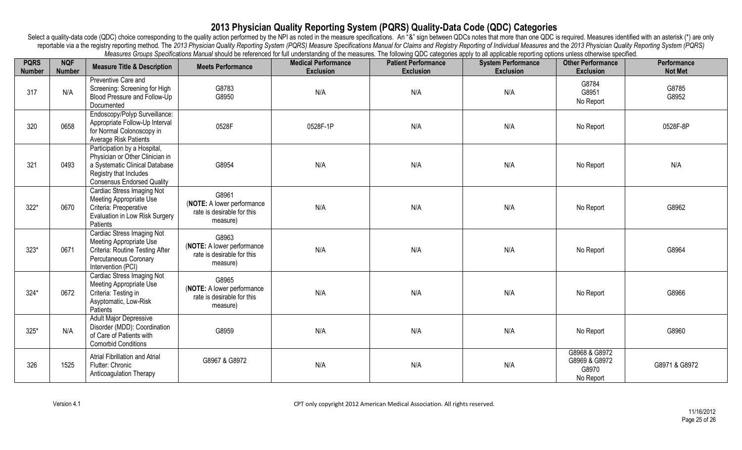| <b>PQRS</b><br><b>Number</b> | <b>NQF</b><br><b>Number</b> | <b>Measure Title &amp; Description</b>                                                                                                                           | <b>Meets Performance</b>                                                      | noadatoo Oroapo Opomoanono manaa choala oo forontoloa for ian anaofolahang or ino moadatoo. Tho folloming &DO ollogonoo apply to all applicable toporthig opitomoo ollominoo opomoano<br><b>Medical Performance</b><br><b>Exclusion</b> | <b>Patient Performance</b><br>Exclusion | <b>System Performance</b><br><b>Exclusion</b> | <b>Other Performance</b><br><b>Exclusion</b>         | Performance<br><b>Not Met</b> |
|------------------------------|-----------------------------|------------------------------------------------------------------------------------------------------------------------------------------------------------------|-------------------------------------------------------------------------------|-----------------------------------------------------------------------------------------------------------------------------------------------------------------------------------------------------------------------------------------|-----------------------------------------|-----------------------------------------------|------------------------------------------------------|-------------------------------|
| 317                          | N/A                         | Preventive Care and<br>Screening: Screening for High<br>Blood Pressure and Follow-Up<br>Documented                                                               | G8783<br>G8950                                                                | N/A                                                                                                                                                                                                                                     | N/A                                     | N/A                                           | G8784<br>G8951<br>No Report                          | G8785<br>G8952                |
| 320                          | 0658                        | Endoscopy/Polyp Surveillance:<br>Appropriate Follow-Up Interval<br>for Normal Colonoscopy in<br>Average Risk Patients                                            | 0528F                                                                         | 0528F-1P                                                                                                                                                                                                                                | N/A                                     | N/A                                           | No Report                                            | 0528F-8P                      |
| 321                          | 0493                        | Participation by a Hospital,<br>Physician or Other Clinician in<br>a Systematic Clinical Database<br>Registry that Includes<br><b>Consensus Endorsed Quality</b> | G8954                                                                         | N/A                                                                                                                                                                                                                                     | N/A                                     | N/A                                           | No Report                                            | N/A                           |
| $322*$                       | 0670                        | <b>Cardiac Stress Imaging Not</b><br>Meeting Appropriate Use<br>Criteria: Preoperative<br>Evaluation in Low Risk Surgery<br>Patients                             | G8961<br>(NOTE: A lower performance<br>rate is desirable for this<br>measure) | N/A                                                                                                                                                                                                                                     | N/A                                     | N/A                                           | No Report                                            | G8962                         |
| $323*$                       | 0671                        | Cardiac Stress Imaging Not<br>Meeting Appropriate Use<br>Criteria: Routine Testing After<br>Percutaneous Coronary<br>Intervention (PCI)                          | G8963<br>(NOTE: A lower performance<br>rate is desirable for this<br>measure) | N/A                                                                                                                                                                                                                                     | N/A                                     | N/A                                           | No Report                                            | G8964                         |
| $324*$                       | 0672                        | <b>Cardiac Stress Imaging Not</b><br>Meeting Appropriate Use<br>Criteria: Testing in<br>Asyptomatic, Low-Risk<br>Patients                                        | G8965<br>(NOTE: A lower performance<br>rate is desirable for this<br>measure) | N/A                                                                                                                                                                                                                                     | N/A                                     | N/A                                           | No Report                                            | G8966                         |
| $325*$                       | N/A                         | <b>Adult Major Depressive</b><br>Disorder (MDD): Coordination<br>of Care of Patients with<br><b>Comorbid Conditions</b>                                          | G8959                                                                         | N/A                                                                                                                                                                                                                                     | N/A                                     | N/A                                           | No Report                                            | G8960                         |
| 326                          | 1525                        | Atrial Fibrillation and Atrial<br>Flutter: Chronic<br>Anticoagulation Therapy                                                                                    | G8967 & G8972                                                                 | N/A                                                                                                                                                                                                                                     | N/A                                     | N/A                                           | G8968 & G8972<br>G8969 & G8972<br>G8970<br>No Report | G8971 & G8972                 |